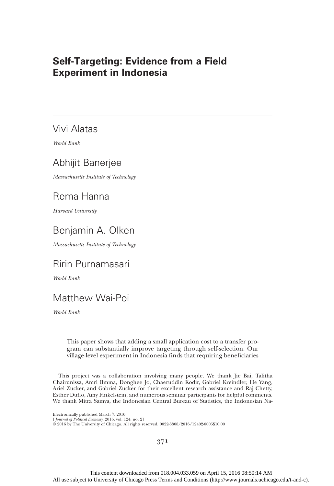# Self-Targeting: Evidence from a Field Experiment in Indonesia

# Vivi Alatas

World Bank

# Abhijit Banerjee

Massachusetts Institute of Technology

# Rema Hanna

Harvard University

# Benjamin A. Olken

Massachusetts Institute of Technology

# Ririn Purnamasari

World Bank

# Matthew Wai-Poi

World Bank

This paper shows that adding a small application cost to a transfer program can substantially improve targeting through self-selection. Our village-level experiment in Indonesia finds that requiring beneficiaries

This project was a collaboration involving many people. We thank Jie Bai, Talitha Chairunissa, Amri Ilmma, Donghee Jo, Chaeruddin Kodir, Gabriel Kreindler, He Yang, Ariel Zucker, and Gabriel Zucker for their excellent research assistance and Raj Chetty, Esther Duflo, Amy Finkelstein, and numerous seminar participants for helpful comments. We thank Mitra Samya, the Indonesian Central Bureau of Statistics, the Indonesian Na-

Electronically published March 7, 2016

[ Journal of Political Economy, 2016, vol. 124, no. 2]

© 2016 by The University of Chicago. All rights reserved. 0022-3808/2016/12402-0005\$10.00

371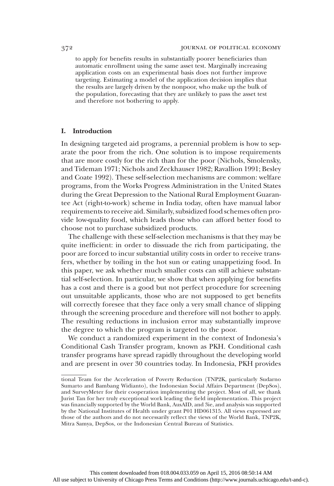to apply for benefits results in substantially poorer beneficiaries than automatic enrollment using the same asset test. Marginally increasing application costs on an experimental basis does not further improve targeting. Estimating a model of the application decision implies that the results are largely driven by the nonpoor, who make up the bulk of the population, forecasting that they are unlikely to pass the asset test and therefore not bothering to apply.

### I. Introduction

In designing targeted aid programs, a perennial problem is how to separate the poor from the rich. One solution is to impose requirements that are more costly for the rich than for the poor (Nichols, Smolensky, and Tideman 1971; Nichols and Zeckhauser 1982; Ravallion 1991; Besley and Coate 1992). These self-selection mechanisms are common: welfare programs, from the Works Progress Administration in the United States during the Great Depression to the National Rural Employment Guarantee Act (right-to-work) scheme in India today, often have manual labor requirements to receive aid. Similarly, subsidized food schemes often provide low-quality food, which leads those who can afford better food to choose not to purchase subsidized products.

The challenge with these self-selection mechanisms is that they may be quite inefficient: in order to dissuade the rich from participating, the poor are forced to incur substantial utility costs in order to receive transfers, whether by toiling in the hot sun or eating unappetizing food. In this paper, we ask whether much smaller costs can still achieve substantial self-selection. In particular, we show that when applying for benefits has a cost and there is a good but not perfect procedure for screening out unsuitable applicants, those who are not supposed to get benefits will correctly foresee that they face only a very small chance of slipping through the screening procedure and therefore will not bother to apply. The resulting reductions in inclusion error may substantially improve the degree to which the program is targeted to the poor.

We conduct a randomized experiment in the context of Indonesia's Conditional Cash Transfer program, known as PKH. Conditional cash transfer programs have spread rapidly throughout the developing world and are present in over 30 countries today. In Indonesia, PKH provides

tional Team for the Acceleration of Poverty Reduction (TNP2K, particularly Sudarno Sumarto and Bambang Widianto), the Indonesian Social Affairs Department (DepSos), and SurveyMeter for their cooperation implementing the project. Most of all, we thank Jurist Tan for her truly exceptional work leading the field implementation. This project was financially supported by the World Bank, AusAID, and 3ie, and analysis was supported by the National Institutes of Health under grant P01 HD061315. All views expressed are those of the authors and do not necessarily reflect the views of the World Bank, TNP2K, Mitra Samya, DepSos, or the Indonesian Central Bureau of Statistics.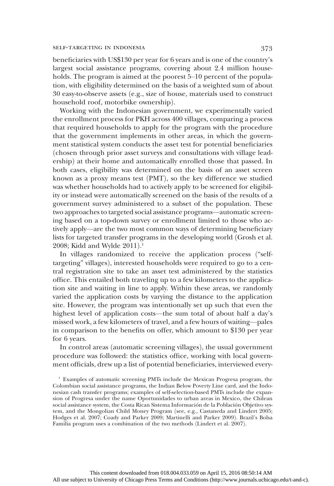## self-targeting in indonesia 373

beneficiaries with US\$130 per year for 6 years and is one of the country's largest social assistance programs, covering about 2.4 million households. The program is aimed at the poorest 5–10 percent of the population, with eligibility determined on the basis of a weighted sum of about 30 easy-to-observe assets (e.g., size of house, materials used to construct household roof, motorbike ownership).

Working with the Indonesian government, we experimentally varied the enrollment process for PKH across 400 villages, comparing a process that required households to apply for the program with the procedure that the government implements in other areas, in which the government statistical system conducts the asset test for potential beneficiaries ðchosen through prior asset surveys and consultations with village leadership) at their home and automatically enrolled those that passed. In both cases, eligibility was determined on the basis of an asset screen known as a proxy means test  $(PMT)$ , so the key difference we studied was whether households had to actively apply to be screened for eligibility or instead were automatically screened on the basis of the results of a government survey administered to a subset of the population. These two approaches to targeted social assistance programs—automatic screening based on a top-down survey or enrollment limited to those who actively apply—are the two most common ways of determining beneficiary lists for targeted transfer programs in the developing world (Grosh et al. 2008; Kidd and Wylde  $2011$ <sup>1</sup>.<br>In villages randomized to

In villages randomized to receive the application process ("selftargeting" villages), interested households were required to go to a central registration site to take an asset test administered by the statistics office. This entailed both traveling up to a few kilometers to the application site and waiting in line to apply. Within these areas, we randomly varied the application costs by varying the distance to the application site. However, the program was intentionally set up such that even the highest level of application costs—the sum total of about half a day's missed work, a few kilometers of travel, and a few hours of waiting—pales in comparison to the benefits on offer, which amount to \$130 per year for 6 years.

In control areas (automatic screening villages), the usual government procedure was followed: the statistics office, working with local government officials, drew up a list of potential beneficiaries, interviewed every-

<sup>&</sup>lt;sup>1</sup> Examples of automatic screening PMTs include the Mexican Progresa program, the Colombian social assistance programs, the Indian Below Poverty Line card, and the Indonesian cash transfer programs; examples of self-selection-based PMTs include the expansion of Progresa under the name Oportunidades to urban areas in Mexico, the Chilean social assistance system, the Costa Rican Sistema Información de la Población Objetivo system, and the Mongolian Child Money Program (see, e.g., Castaneda and Lindert 2005; Hodges et al. 2007; Coady and Parker 2009; Martinelli and Parker 2009). Brazil's Bolsa Familia program uses a combination of the two methods (Lindert et al. 2007).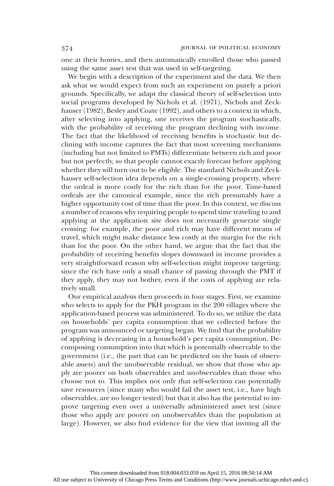one at their homes, and then automatically enrolled those who passed using the same asset test that was used in self-targeting.

We begin with a description of the experiment and the data. We then ask what we would expect from such an experiment on purely a priori grounds. Specifically, we adapt the classical theory of self-selection into social programs developed by Nichols et al. (1971), Nichols and Zeckhauser (1982), Besley and Coate (1992), and others to a context in which, after selecting into applying, one receives the program stochastically, with the probability of receiving the program declining with income. The fact that the likelihood of receiving benefits is stochastic but declining with income captures the fact that most screening mechanisms (including but not limited to PMTs) differentiate between rich and poor but not perfectly, so that people cannot exactly forecast before applying whether they will turn out to be eligible. The standard Nichols and Zeckhauser self-selection idea depends on a single-crossing property, where the ordeal is more costly for the rich than for the poor. Time-based ordeals are the canonical example, since the rich presumably have a higher opportunity cost of time than the poor. In this context, we discuss a number of reasons why requiring people to spend time traveling to and applying at the application site does not necessarily generate single crossing: for example, the poor and rich may have different means of travel, which might make distance less costly at the margin for the rich than for the poor. On the other hand, we argue that the fact that the probability of receiving benefits slopes downward in income provides a very straightforward reason why self-selection might improve targeting: since the rich have only a small chance of passing through the PMT if they apply, they may not bother, even if the costs of applying are relatively small.

Our empirical analysis then proceeds in four stages. First, we examine who selects to apply for the PKH program in the 200 villages where the application-based process was administered. To do so, we utilize the data on households' per capita consumption that we collected before the program was announced or targeting began. We find that the probability of applying is decreasing in a household's per capita consumption. Decomposing consumption into that which is potentially observable to the government (i.e., the part that can be predicted on the basis of observable assets) and the unobservable residual, we show that those who apply are poorer on both observables and unobservables than those who choose not to. This implies not only that self-selection can potentially save resources (since many who would fail the asset test, i.e., have high observables, are no longer tested) but that it also has the potential to improve targeting even over a universally administered asset test (since those who apply are poorer on unobservables than the population at large). However, we also find evidence for the view that inviting all the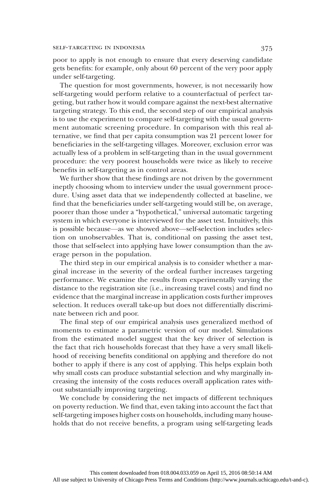## self-targeting in indonesia 375

poor to apply is not enough to ensure that every deserving candidate gets benefits: for example, only about 60 percent of the very poor apply under self-targeting.

The question for most governments, however, is not necessarily how self-targeting would perform relative to a counterfactual of perfect targeting, but rather how it would compare against the next-best alternative targeting strategy. To this end, the second step of our empirical analysis is to use the experiment to compare self-targeting with the usual government automatic screening procedure. In comparison with this real alternative, we find that per capita consumption was 21 percent lower for beneficiaries in the self-targeting villages. Moreover, exclusion error was actually less of a problem in self-targeting than in the usual government procedure: the very poorest households were twice as likely to receive benefits in self-targeting as in control areas.

We further show that these findings are not driven by the government ineptly choosing whom to interview under the usual government procedure. Using asset data that we independently collected at baseline, we find that the beneficiaries under self-targeting would still be, on average, poorer than those under a "hypothetical," universal automatic targeting system in which everyone is interviewed for the asset test. Intuitively, this is possible because—as we showed above—self-selection includes selection on unobservables. That is, conditional on passing the asset test, those that self-select into applying have lower consumption than the average person in the population.

The third step in our empirical analysis is to consider whether a marginal increase in the severity of the ordeal further increases targeting performance. We examine the results from experimentally varying the distance to the registration site (i.e., increasing travel costs) and find no evidence that the marginal increase in application costs further improves selection. It reduces overall take-up but does not differentially discriminate between rich and poor.

The final step of our empirical analysis uses generalized method of moments to estimate a parametric version of our model. Simulations from the estimated model suggest that the key driver of selection is the fact that rich households forecast that they have a very small likelihood of receiving benefits conditional on applying and therefore do not bother to apply if there is any cost of applying. This helps explain both why small costs can produce substantial selection and why marginally increasing the intensity of the costs reduces overall application rates without substantially improving targeting.

We conclude by considering the net impacts of different techniques on poverty reduction. We find that, even taking into account the fact that self-targeting imposes higher costs on households, including many households that do not receive benefits, a program using self-targeting leads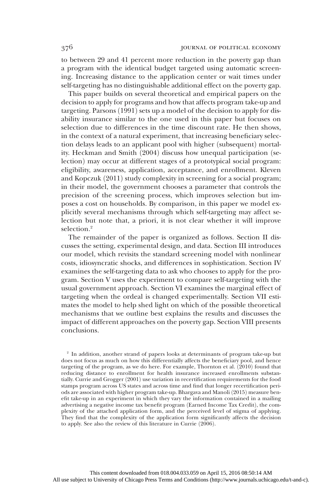to between 29 and 41 percent more reduction in the poverty gap than a program with the identical budget targeted using automatic screening. Increasing distance to the application center or wait times under self-targeting has no distinguishable additional effect on the poverty gap.

This paper builds on several theoretical and empirical papers on the decision to apply for programs and how that affects program take-up and targeting. Parsons (1991) sets up a model of the decision to apply for disability insurance similar to the one used in this paper but focuses on selection due to differences in the time discount rate. He then shows, in the context of a natural experiment, that increasing beneficiary selection delays leads to an applicant pool with higher (subsequent) mortality. Heckman and Smith (2004) discuss how unequal participation (selection) may occur at different stages of a prototypical social program: eligibility, awareness, application, acceptance, and enrollment. Kleven and Kopczuk (2011) study complexity in screening for a social program; in their model, the government chooses a parameter that controls the precision of the screening process, which improves selection but imposes a cost on households. By comparison, in this paper we model explicitly several mechanisms through which self-targeting may affect selection but note that, a priori, it is not clear whether it will improve selection.<sup>2</sup>

The remainder of the paper is organized as follows. Section II discusses the setting, experimental design, and data. Section III introduces our model, which revisits the standard screening model with nonlinear costs, idiosyncratic shocks, and differences in sophistication. Section IV examines the self-targeting data to ask who chooses to apply for the program. Section V uses the experiment to compare self-targeting with the usual government approach. Section VI examines the marginal effect of targeting when the ordeal is changed experimentally. Section VII estimates the model to help shed light on which of the possible theoretical mechanisms that we outline best explains the results and discusses the impact of different approaches on the poverty gap. Section VIII presents conclusions.

<sup>2</sup> In addition, another strand of papers looks at determinants of program take-up but does not focus as much on how this differentially affects the beneficiary pool, and hence targeting of the program, as we do here. For example, Thornton et al.  $(2010)$  found that reducing distance to enrollment for health insurance increased enrollments substantially. Currie and Grogger (2001) use variation in recertification requirements for the food stamps program across US states and across time and find that longer recertification periods are associated with higher program take-up. Bhargava and Manoli (2015) measure benefit take-up in an experiment in which they vary the information contained in a mailing advertising a negative income tax benefit program (Earned Income Tax Credit), the complexity of the attached application form, and the perceived level of stigma of applying. They find that the complexity of the application form significantly affects the decision to apply. See also the review of this literature in Currie (2006).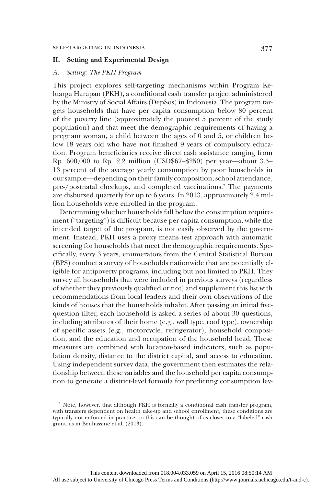# II. Setting and Experimental Design

# A. Setting: The PKH Program

This project explores self-targeting mechanisms within Program Keluarga Harapan (PKH), a conditional cash transfer project administered by the Ministry of Social Affairs (DepSos) in Indonesia. The program targets households that have per capita consumption below 80 percent of the poverty line (approximately the poorest 5 percent of the study population) and that meet the demographic requirements of having a pregnant woman, a child between the ages of 0 and 5, or children below 18 years old who have not finished 9 years of compulsory education. Program beneficiaries receive direct cash assistance ranging from Rp. 600,000 to Rp. 2.2 million (USD\$67–\$250) per year—about 3.5– 13 percent of the average yearly consumption by poor households in our sample—depending on their family composition, school attendance, pre-/postnatal checkups, and completed vaccinations.<sup>3</sup> The payments are disbursed quarterly for up to 6 years. In 2013, approximately 2.4 million households were enrolled in the program.

Determining whether households fall below the consumption requirement ("targeting") is difficult because per capita consumption, while the intended target of the program, is not easily observed by the government. Instead, PKH uses a proxy means test approach with automatic screening for households that meet the demographic requirements. Specifically, every 3 years, enumerators from the Central Statistical Bureau (BPS) conduct a survey of households nationwide that are potentially eligible for antipoverty programs, including but not limited to PKH. They survey all households that were included in previous surveys (regardless of whether they previously qualified or not) and supplement this list with recommendations from local leaders and their own observations of the kinds of houses that the households inhabit. After passing an initial fivequestion filter, each household is asked a series of about 30 questions, including attributes of their home (e.g., wall type, roof type), ownership of specific assets (e.g., motorcycle, refrigerator), household composition, and the education and occupation of the household head. These measures are combined with location-based indicators, such as population density, distance to the district capital, and access to education. Using independent survey data, the government then estimates the relationship between these variables and the household per capita consumption to generate a district-level formula for predicting consumption lev-

<sup>&</sup>lt;sup>3</sup> Note, however, that although PKH is formally a conditional cash transfer program, with transfers dependent on health take-up and school enrollment, these conditions are typically not enforced in practice, so this can be thought of as closer to a "labeled" cash grant, as in Benhassine et al. (2013).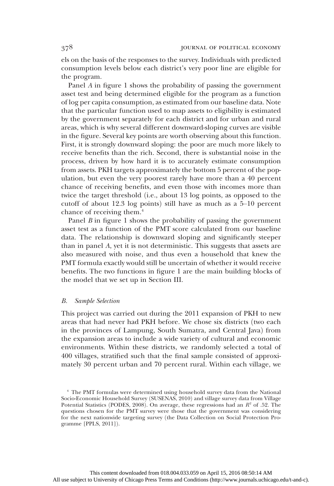els on the basis of the responses to the survey. Individuals with predicted consumption levels below each district's very poor line are eligible for the program.

Panel A in figure 1 shows the probability of passing the government asset test and being determined eligible for the program as a function of log per capita consumption, as estimated from our baseline data. Note that the particular function used to map assets to eligibility is estimated by the government separately for each district and for urban and rural areas, which is why several different downward-sloping curves are visible in the figure. Several key points are worth observing about this function. First, it is strongly downward sloping: the poor are much more likely to receive benefits than the rich. Second, there is substantial noise in the process, driven by how hard it is to accurately estimate consumption from assets. PKH targets approximately the bottom 5 percent of the population, but even the very poorest rarely have more than a 40 percent chance of receiving benefits, and even those with incomes more than twice the target threshold (i.e., about 13 log points, as opposed to the cutoff of about 12.3 log points) still have as much as a  $5-10$  percent chance of receiving them.<sup>4</sup>

Panel  $B$  in figure 1 shows the probability of passing the government asset test as a function of the PMT score calculated from our baseline data. The relationship is downward sloping and significantly steeper than in panel A, yet it is not deterministic. This suggests that assets are also measured with noise, and thus even a household that knew the PMT formula exactly would still be uncertain of whether it would receive benefits. The two functions in figure 1 are the main building blocks of the model that we set up in Section III.

### B. Sample Selection

This project was carried out during the 2011 expansion of PKH to new areas that had never had PKH before. We chose six districts (two each in the provinces of Lampung, South Sumatra, and Central Java) from the expansion areas to include a wide variety of cultural and economic environments. Within these districts, we randomly selected a total of 400 villages, stratified such that the final sample consisted of approximately 30 percent urban and 70 percent rural. Within each village, we

<sup>4</sup> The PMT formulas were determined using household survey data from the National Socio-Economic Household Survey (SUSENAS, 2010) and village survey data from Village Potential Statistics (PODES, 2008). On average, these regressions had an  $R^2$  of .52. The questions chosen for the PMT survey were those that the government was considering for the next nationwide targeting survey (the Data Collection on Social Protection Programme [PPLS, 2011]).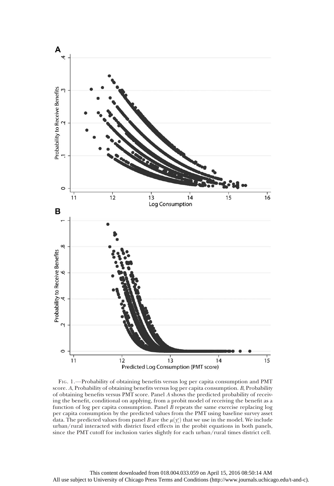

FIG. 1.—Probability of obtaining benefits versus log per capita consumption and PMT score. A, Probability of obtaining benefits versus log per capita consumption. B, Probability of obtaining benefits versus PMT score. Panel A shows the predicted probability of receiving the benefit, conditional on applying, from a probit model of receiving the benefit as a function of log per capita consumption. Panel  $\vec{B}$  repeats the same exercise replacing log per capita consumption by the predicted values from the PMT using baseline survey asset data. The predicted values from panel B are the  $\mu(y_i^e)$  that we use in the model. We include<br>urban/rural interacted with district fixed effects in the probit equations in both panels urban/rural interacted with district fixed effects in the probit equations in both panels, since the PMT cutoff for inclusion varies slightly for each urban/rural times district cell.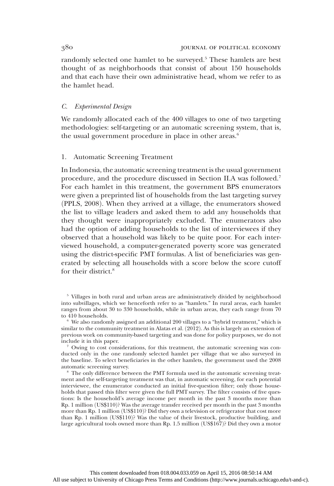randomly selected one hamlet to be surveyed.<sup>5</sup> These hamlets are best thought of as neighborhoods that consist of about 150 households and that each have their own administrative head, whom we refer to as the hamlet head.

## C. Experimental Design

We randomly allocated each of the 400 villages to one of two targeting methodologies: self-targeting or an automatic screening system, that is, the usual government procedure in place in other areas.<sup>6</sup>

# 1. Automatic Screening Treatment

In Indonesia, the automatic screening treatment is the usual government procedure, and the procedure discussed in Section II.A was followed.7 For each hamlet in this treatment, the government BPS enumerators were given a preprinted list of households from the last targeting survey (PPLS, 2008). When they arrived at a village, the enumerators showed the list to village leaders and asked them to add any households that they thought were inappropriately excluded. The enumerators also had the option of adding households to the list of interviewees if they observed that a household was likely to be quite poor. For each interviewed household, a computer-generated poverty score was generated using the district-specific PMT formulas. A list of beneficiaries was generated by selecting all households with a score below the score cutoff for their district.<sup>8</sup>

<sup>5</sup> Villages in both rural and urban areas are administratively divided by neighborhood into subvillages, which we henceforth refer to as "hamlets." In rural areas, each hamlet ranges from about 30 to 330 households, while in urban areas, they each range from 70

 $6\,$  We also randomly assigned an additional 200 villages to a "hybrid treatment," which is similar to the community treatment in Alatas et al.  $(2012)$ . As this is largely an extension of previous work on community-based targeting and was done for policy purposes, we do not include it in this paper.

 $7$  Owing to cost considerations, for this treatment, the automatic screening was conducted only in the one randomly selected hamlet per village that we also surveyed in the baseline. To select beneficiaries in the other hamlets, the government used the 2008 automatic screening survey.

<sup>&</sup>lt;sup>8</sup> The only difference between the PMT formula used in the automatic screening treatment and the self-targeting treatment was that, in automatic screening, for each potential interviewee, the enumerator conducted an initial five-question filter; only those households that passed this filter were given the full PMT survey. The filter consists of five questions: Is the household's average income per month in the past 3 months more than Rp. 1 million (US\$110)? Was the average transfer received per month in the past 3 months more than Rp. 1 million (US\$110)? Did they own a television or refrigerator that cost more than Rp. 1 million  $(US$110)$ ? Was the value of their livestock, productive building, and large agricultural tools owned more than Rp. 1.5 million (US\$167)? Did they own a motor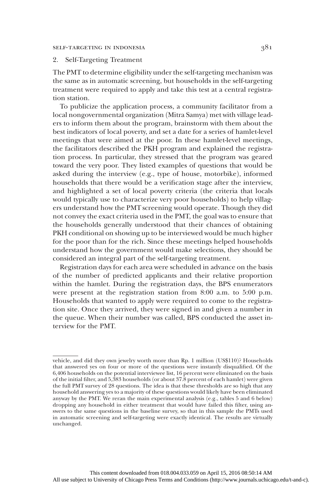### 2. Self-Targeting Treatment

The PMT to determine eligibility under the self-targeting mechanism was the same as in automatic screening, but households in the self-targeting treatment were required to apply and take this test at a central registration station.

To publicize the application process, a community facilitator from a local nongovernmental organization (Mitra Samya) met with village leaders to inform them about the program, brainstorm with them about the best indicators of local poverty, and set a date for a series of hamlet-level meetings that were aimed at the poor. In these hamlet-level meetings, the facilitators described the PKH program and explained the registration process. In particular, they stressed that the program was geared toward the very poor. They listed examples of questions that would be asked during the interview (e.g., type of house, motorbike), informed households that there would be a verification stage after the interview, and highlighted a set of local poverty criteria (the criteria that locals would typically use to characterize very poor households) to help villagers understand how the PMT screening would operate. Though they did not convey the exact criteria used in the PMT, the goal was to ensure that the households generally understood that their chances of obtaining PKH conditional on showing up to be interviewed would be much higher for the poor than for the rich. Since these meetings helped households understand how the government would make selections, they should be considered an integral part of the self-targeting treatment.

Registration days for each area were scheduled in advance on the basis of the number of predicted applicants and their relative proportion within the hamlet. During the registration days, the BPS enumerators were present at the registration station from 8:00 a.m. to 5:00 p.m. Households that wanted to apply were required to come to the registration site. Once they arrived, they were signed in and given a number in the queue. When their number was called, BPS conducted the asset interview for the PMT.

vehicle, and did they own jewelry worth more than Rp. 1 million (US\$110)? Households that answered yes on four or more of the questions were instantly disqualified. Of the 6,406 households on the potential interviewee list, 16 percent were eliminated on the basis of the initial filter, and  $5,\overline{3}83$  households (or about  $37.\overline{8}$  percent of each hamlet) were given the full PMT survey of 28 questions. The idea is that these thresholds are so high that any household answering yes to a majority of these questions would likely have been eliminated anyway by the PMT. We reran the main experimental analysis  $(e.g.,$  tables  $5$  and  $6$  below) dropping any household in either treatment that would have failed this filter, using answers to the same questions in the baseline survey, so that in this sample the PMTs used in automatic screening and self-targeting were exactly identical. The results are virtually unchanged.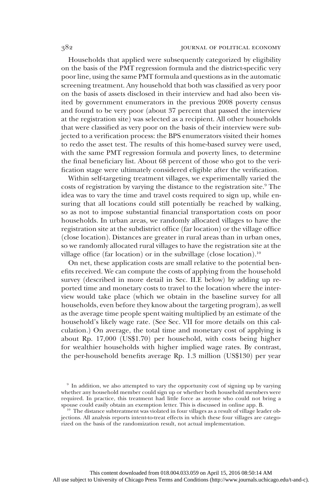Households that applied were subsequently categorized by eligibility on the basis of the PMT regression formula and the district-specific very poor line, using the same PMT formula and questions as in the automatic screening treatment. Any household that both was classified as very poor on the basis of assets disclosed in their interview and had also been visited by government enumerators in the previous 2008 poverty census and found to be very poor (about 37 percent that passed the interview at the registration site) was selected as a recipient. All other households that were classified as very poor on the basis of their interview were subjected to a verification process: the BPS enumerators visited their homes to redo the asset test. The results of this home-based survey were used, with the same PMT regression formula and poverty lines, to determine the final beneficiary list. About 68 percent of those who got to the verification stage were ultimately considered eligible after the verification.

Within self-targeting treatment villages, we experimentally varied the costs of registration by varying the distance to the registration site.<sup>9</sup> The idea was to vary the time and travel costs required to sign up, while ensuring that all locations could still potentially be reached by walking, so as not to impose substantial financial transportation costs on poor households. In urban areas, we randomly allocated villages to have the registration site at the subdistrict office (far location) or the village office (close location). Distances are greater in rural areas than in urban ones, so we randomly allocated rural villages to have the registration site at the village office (far location) or in the subvillage (close location).<sup>10</sup><br>On net, these application costs are small relative to the potential

On net, these application costs are small relative to the potential benefits received. We can compute the costs of applying from the household survey (described in more detail in Sec. II.E below) by adding up reported time and monetary costs to travel to the location where the interview would take place (which we obtain in the baseline survey for all households, even before they know about the targeting program), as well as the average time people spent waiting multiplied by an estimate of the household's likely wage rate. (See Sec. VII for more details on this calculation.) On average, the total time and monetary cost of applying is about Rp.  $17,000$  (US\$1.70) per household, with costs being higher for wealthier households with higher implied wage rates. By contrast, the per-household benefits average Rp. 1.3 million (US\$130) per year

<sup>9</sup> In addition, we also attempted to vary the opportunity cost of signing up by varying whether any household member could sign up or whether both household members were required. In practice, this treatment had little force as anyone who could not bring a spouse could easily obtain an exemption letter. This is discussed in online app. B.

 $10$  The distance subtreatment was violated in four villages as a result of village leader objections. All analysis reports intent-to-treat effects in which these four villages are categorized on the basis of the randomization result, not actual implementation.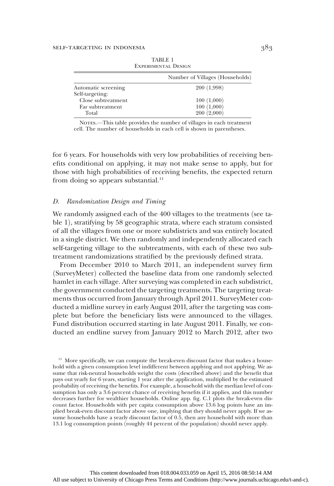|                     | Number of Villages (Households) |
|---------------------|---------------------------------|
| Automatic screening | 200 (1,998)                     |
| Self-targeting:     |                                 |
| Close subtreatment  | 100(1,000)                      |
| Far subtreatment    | 100(1,000)                      |
| Total               | 200(2,000)                      |

TABLE 1 Experimental Design

NOTES.—This table provides the number of villages in each treatment cell. The number of households in each cell is shown in parentheses.

for 6 years. For households with very low probabilities of receiving benefits conditional on applying, it may not make sense to apply, but for those with high probabilities of receiving benefits, the expected return from doing so appears substantial. $^{11}$ 

# D. Randomization Design and Timing

We randomly assigned each of the 400 villages to the treatments (see table 1), stratifying by 58 geographic strata, where each stratum consisted of all the villages from one or more subdistricts and was entirely located in a single district. We then randomly and independently allocated each self-targeting village to the subtreatments, with each of these two subtreatment randomizations stratified by the previously defined strata.

From December 2010 to March 2011, an independent survey firm (SurveyMeter) collected the baseline data from one randomly selected hamlet in each village. After surveying was completed in each subdistrict, the government conducted the targeting treatments. The targeting treatments thus occurred from January through April 2011. SurveyMeter conducted a midline survey in early August 201l, after the targeting was complete but before the beneficiary lists were announced to the villages. Fund distribution occurred starting in late August 2011. Finally, we conducted an endline survey from January 2012 to March 2012, after two

 $11$  More specifically, we can compute the break-even discount factor that makes a household with a given consumption level indifferent between applying and not applying. We assume that risk-neutral households weight the costs (described above) and the benefit that pays out yearly for 6 years, starting 1 year after the application, multiplied by the estimated probability of receiving the benefits. For example, a household with the median level of consumption has only a 3.6 percent chance of receiving benefits if it applies, and this number decreases further for wealthier households. Online app. fig. C.1 plots the break-even discount factor. Households with per capita consumption above 13.6 log points have an implied break-even discount factor above one, implying that they should never apply. If we assume households have a yearly discount factor of 0.5, then any household with more than 13.1 log consumption points (roughly 44 percent of the population) should never apply.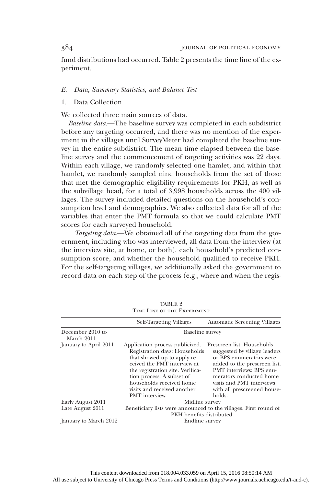fund distributions had occurred. Table 2 presents the time line of the experiment.

# E. Data, Summary Statistics, and Balance Test

# 1. Data Collection

We collected three main sources of data.

Baseline data.—The baseline survey was completed in each subdistrict before any targeting occurred, and there was no mention of the experiment in the villages until SurveyMeter had completed the baseline survey in the entire subdistrict. The mean time elapsed between the baseline survey and the commencement of targeting activities was 22 days. Within each village, we randomly selected one hamlet, and within that hamlet, we randomly sampled nine households from the set of those that met the demographic eligibility requirements for PKH, as well as the subvillage head, for a total of 3,998 households across the 400 villages. The survey included detailed questions on the household's consumption level and demographics. We also collected data for all of the variables that enter the PMT formula so that we could calculate PMT scores for each surveyed household.

Targeting data.—We obtained all of the targeting data from the government, including who was interviewed, all data from the interview (at the interview site, at home, or both), each household's predicted consumption score, and whether the household qualified to receive PKH. For the self-targeting villages, we additionally asked the government to record data on each step of the process (e.g., where and when the regis-

|                                | Self-Targeting Villages                                                                                                                                                                                                                                                      | <b>Automatic Screening Villages</b>                                                                                                                                                                                                                |
|--------------------------------|------------------------------------------------------------------------------------------------------------------------------------------------------------------------------------------------------------------------------------------------------------------------------|----------------------------------------------------------------------------------------------------------------------------------------------------------------------------------------------------------------------------------------------------|
| December 2010 to<br>March 2011 | Baseline survey                                                                                                                                                                                                                                                              |                                                                                                                                                                                                                                                    |
| January to April 2011          | Application process publicized.<br>Registration days: Households<br>that showed up to apply re-<br>ceived the PMT interview at<br>the registration site. Verifica-<br>tion process: A subset of<br>households received home<br>visits and received another<br>PMT interview. | Prescreen list: Households<br>suggested by village leaders<br>or BPS enumerators were<br>added to the prescreen list.<br>PMT interviews: BPS enu-<br>merators conducted home<br>visits and PMT interviews<br>with all prescreened house-<br>holds. |
| Early August 2011              | Midline survey                                                                                                                                                                                                                                                               |                                                                                                                                                                                                                                                    |
| Late August 2011               | Beneficiary lists were announced to the villages. First round of<br>PKH benefits distributed.                                                                                                                                                                                |                                                                                                                                                                                                                                                    |
| January to March 2012          | Endline survey                                                                                                                                                                                                                                                               |                                                                                                                                                                                                                                                    |

TABLE 2 Time Line of the Experiment

This content downloaded from 018.004.033.059 on April 15, 2016 08:50:14 AM All use subject to University of Chicago Press Terms and Conditions (http://www.journals.uchicago.edu/t-and-c).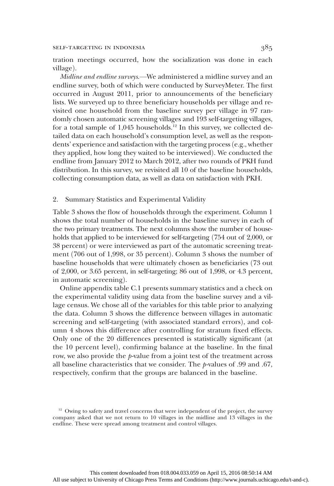tration meetings occurred, how the socialization was done in each village).

Midline and endline surveys.—We administered a midline survey and an endline survey, both of which were conducted by SurveyMeter. The first occurred in August 2011, prior to announcements of the beneficiary lists. We surveyed up to three beneficiary households per village and revisited one household from the baseline survey per village in 97 randomly chosen automatic screening villages and 193 self-targeting villages, for a total sample of  $1,045$  households.<sup>12</sup> In this survey, we collected detailed data on each household's consumption level, as well as the respondents' experience and satisfaction with the targeting process (e.g., whether they applied, how long they waited to be interviewed). We conducted the endline from January 2012 to March 2012, after two rounds of PKH fund distribution. In this survey, we revisited all 10 of the baseline households, collecting consumption data, as well as data on satisfaction with PKH.

2. Summary Statistics and Experimental Validity

Table 3 shows the flow of households through the experiment. Column 1 shows the total number of households in the baseline survey in each of the two primary treatments. The next columns show the number of households that applied to be interviewed for self-targeting (754 out of 2,000, or 38 percent) or were interviewed as part of the automatic screening treatment (706 out of 1,998, or 35 percent). Column 3 shows the number of baseline households that were ultimately chosen as beneficiaries (73 out of 2,000, or 3.65 percent, in self-targeting; 86 out of 1,998, or 4.3 percent, in automatic screening).

Online appendix table C.1 presents summary statistics and a check on the experimental validity using data from the baseline survey and a village census. We chose all of the variables for this table prior to analyzing the data. Column 3 shows the difference between villages in automatic screening and self-targeting (with associated standard errors), and column 4 shows this difference after controlling for stratum fixed effects. Only one of the 20 differences presented is statistically significant (at the 10 percent level), confirming balance at the baseline. In the final row, we also provide the  $p$ -value from a joint test of the treatment across all baseline characteristics that we consider. The  $p$ -values of .99 and .67, respectively, confirm that the groups are balanced in the baseline.

<sup>&</sup>lt;sup>12</sup> Owing to safety and travel concerns that were independent of the project, the survey company asked that we not return to 10 villages in the midline and 13 villages in the endline. These were spread among treatment and control villages.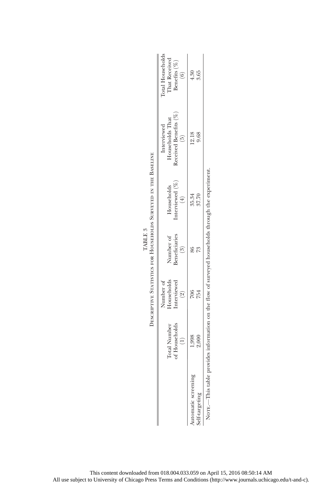|                                     |                                             |                                        |                                   | DESCRIPTIVE STATISTICS FOR HOUSEHOLDS SURVEYED IN THE BASELINE                                   |                                                                              |                                                      |
|-------------------------------------|---------------------------------------------|----------------------------------------|-----------------------------------|--------------------------------------------------------------------------------------------------|------------------------------------------------------------------------------|------------------------------------------------------|
|                                     | of Households<br><b><i>Cotal</i></b> Number | Households<br>Interviewed<br>Number of | <b>Beneficiaries</b><br>Number of | Interviewed (%)<br>Households                                                                    | Received Benefits $(\%$<br>Households That<br>Interviewed<br>$\widetilde{5}$ | Total Households<br>That Received<br>Benefits $(\%)$ |
| utomatic screening<br>elf-targeting | 1,998<br>2.000                              |                                        | 73                                | 35.34<br>37.70                                                                                   | 12.18<br>9.68                                                                | 4.30<br>3.65                                         |
|                                     |                                             |                                        |                                   | NOTE.—This table provides information on the flow of surveyed households through the experiment. |                                                                              |                                                      |

| TABLE 3 | RIPTIVE STATISTICS FOR HOUSEHOLDS SURVEYED IN THE BASELINE |
|---------|------------------------------------------------------------|
|         |                                                            |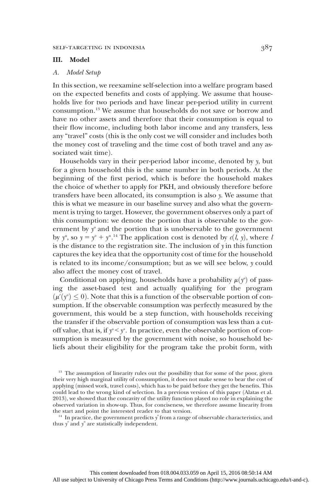# III. Model

## A. Model Setup

In this section, we reexamine self-selection into a welfare program based on the expected benefits and costs of applying. We assume that households live for two periods and have linear per-period utility in current consumption.13 We assume that households do not save or borrow and have no other assets and therefore that their consumption is equal to their flow income, including both labor income and any transfers, less any "travel" costs (this is the only cost we will consider and includes both the money cost of traveling and the time cost of both travel and any associated wait time).

Households vary in their per-period labor income, denoted by y, but for a given household this is the same number in both periods. At the beginning of the first period, which is before the household makes the choice of whether to apply for PKH, and obviously therefore before transfers have been allocated, its consumption is also y. We assume that this is what we measure in our baseline survey and also what the government is trying to target. However, the government observes only a part of this consumption: we denote the portion that is observable to the government by  $y^{\circ}$  and the portion that is unobservable to the government by  $y^u$ , so  $y = y^o + y^{u}$ .<sup>14</sup> The application cost is denoted by  $c(l, y)$ , where *i* is the distance to the registration site. The inclusion of v in this function is the distance to the registration site. The inclusion of  $y$  in this function captures the key idea that the opportunity cost of time for the household is related to its income/consumption; but as we will see below, y could also affect the money cost of travel.

Conditional on applying, households have a probability  $\mu(y^{\rho})$  of pass-<br>r the asset-based test and actually qualifying for the program ing the asset-based test and actually qualifying for the program  $(\mu'(\gamma^{\circ}) \leq 0)$ . Note that this is a function of the observable portion of con-<br>sumption. If the observable consumption was perfectly measured by the  $\frac{1}{\sqrt{2}}$  by  $\frac{1}{2}$  is the sum of the sum of the sumption was perfectly measured by the government, this would be a step function, with households receiving the transfer if the observable portion of consumption was less than a cutoff value, that is, if  $y^{\circ} < y^*$ . In practice, even the observable portion of consumption is measured by the government with noise, so household beliefs about their eligibility for the program take the probit form, with

 $14$  In practice, the government predicts  $y^{\circ}$  from a range of observable characteristics, and thus  $y^{\circ}$  and  $y^{\circ}$  are statistically independent.

<sup>&</sup>lt;sup>13</sup> The assumption of linearity rules out the possibility that for some of the poor, given their very high marginal utility of consumption, it does not make sense to bear the cost of applying (missed work, travel costs), which has to be paid before they get the benefits. This could lead to the wrong kind of selection. In a previous version of this paper (Alatas et al. 2013), we showed that the concavity of the utility function played no role in explaining the observed variation in show-up. Thus, for conciseness, we therefore assume linearity from the start and point the interested reader to that version.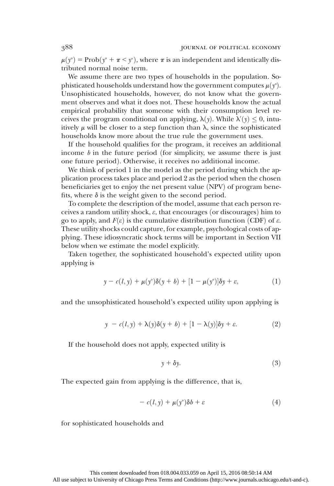$\mu(y^{\circ}) = \text{Prob}(y^{\circ} + \pi \le y^*)$ , where  $\pi$  is an independent and identically distributed normal noise term tributed normal noise term.

We assume there are two types of households in the population. Sophisticated households understand how the government computes  $\mu(y^o)$ .<br>Unsophisticated households, however, do not know what the govern-Unsophisticated households, however, do not know what the government observes and what it does not. These households know the actual empirical probability that someone with their consumption level receives the program conditional on applying,  $\lambda(y)$ . While  $\lambda'(y) \leq 0$ , intu-<br>itively u will be closer to a step function than  $\lambda$ , since the sophisticated itively  $\mu$  will be closer to a step function than  $\lambda$ , since the sophisticated households know more about the true rule the government uses.

If the household qualifies for the program, it receives an additional income  $b$  in the future period (for simplicity, we assume there is just one future period). Otherwise, it receives no additional income.

We think of period 1 in the model as the period during which the application process takes place and period 2 as the period when the chosen beneficiaries get to enjoy the net present value (NPV) of program benefits, where  $\delta$  is the weight given to the second period.

To complete the description of the model, assume that each person receives a random utility shock,  $\varepsilon$ , that encourages (or discourages) him to go to apply, and  $F(\varepsilon)$  is the cumulative distribution function (CDF) of  $\varepsilon$ . These utility shocks could capture, for example, psychological costs of applying. These idiosyncratic shock terms will be important in Section VII below when we estimate the model explicitly.

Taken together, the sophisticated household's expected utility upon applying is

$$
y - c(l, y) + \mu(y^{\circ})\delta(y + b) + [1 - \mu(y^{\circ})]\delta y + \varepsilon,
$$
 (1)

and the unsophisticated household's expected utility upon applying is

$$
y - c(l, y) + \lambda(y)\delta(y + b) + [1 - \lambda(y)]\delta y + \varepsilon. \tag{2}
$$

If the household does not apply, expected utility is

$$
y + \delta y. \tag{3}
$$

The expected gain from applying is the difference, that is,

$$
-c(l, y) + \mu(y^{\circ})\delta b + \varepsilon \tag{4}
$$

for sophisticated households and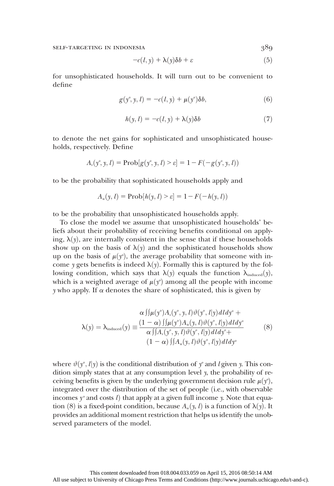self-targeting in indonesia 389

$$
-c(l, y) + \lambda(y)\delta b + \varepsilon \tag{5}
$$

for unsophisticated households. It will turn out to be convenient to define

$$
g(y^e, y, l) = -c(l, y) + \mu(y^e)\delta b,\tag{6}
$$

$$
h(y, l) = -c(l, y) + \lambda(y)\delta b \tag{7}
$$

to denote the net gains for sophisticated and unsophisticated households, respectively. Define

$$
A_{s}(y^{\circ}, y, l) = Prob[g(y^{\circ}, y, l) > \varepsilon] = 1 - F(-g(y^{\circ}, y, l))
$$

to be the probability that sophisticated households apply and

$$
A_u(y, l) = \text{Prob}[h(y, l) > \varepsilon] = 1 - F(-h(y, l))
$$

to be the probability that unsophisticated households apply.

To close the model we assume that unsophisticated households' beliefs about their probability of receiving benefits conditional on applying,  $\lambda(y)$ , are internally consistent in the sense that if these households show up on the basis of  $\lambda(y)$  and the sophisticated households show up on the basis of  $\mu(y^e)$ , the average probability that someone with in-<br>come y gets benefits is indeed  $\lambda(y)$ . Formally this is cantured by the folcome y gets benefits is indeed  $\lambda(y)$ . Formally this is captured by the following condition, which says that  $\lambda(y)$  equals the function  $\lambda_{induced}(y)$ , which is a weighted average of  $\mu(y^{\rho})$  among all the people with income<br>with a notably If  $\alpha$  denotes the share of sophisticated, this is given by  $\gamma$  who apply. If  $\alpha$  denotes the share of sophisticated, this is given by

$$
\alpha \iint \mu(y^{\circ}) A_s(y^{\circ}, y, l) \vartheta(y^{\circ}, l|y) d l dy^{\circ} +
$$
  
\n
$$
\lambda(y) = \lambda_{\text{induced}}(y) \equiv \frac{(1 - \alpha) \iint \mu(y^{\circ}) A_u(y, l) \vartheta(y^{\circ}, l|y) d l dy^{\circ}}{\alpha \iint A_s(y^{\circ}, y, l) \vartheta(y^{\circ}, l|y) d l dy^{\circ} +}
$$
  
\n
$$
(1 - \alpha) \iint A_u(y, l) \vartheta(y^{\circ}, l|y) d l dy^{\circ}
$$
\n(8)

where  $\vartheta(y^{\circ}, l|y)$  is the conditional distribution of y' and l given y. This condition simply states that at any consumption level y the probability of redition simply states that at any consumption level y, the probability of receiving benefits is given by the underlying government decision rule  $\mu(y^{\rho})$ ,<br>integrated over the distribution of the set of people (i.e., with observable integrated over the distribution of the set of people (i.e., with observable incomes  $y^{\circ}$  and costs l) that apply at a given full income y. Note that equation (8) is a fixed-point condition, because  $A_u(y, l)$  is a function of  $\lambda(y)$ . It provides an additional moment restriction that helps us identify the unobserved parameters of the model.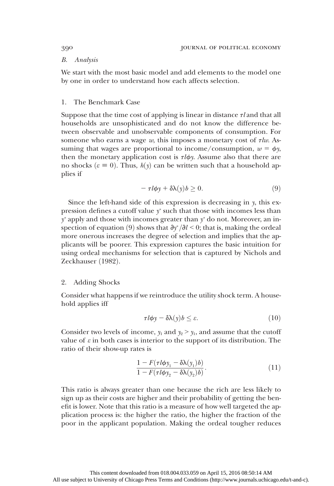### B. Analysis

We start with the most basic model and add elements to the model one by one in order to understand how each affects selection.

## The Benchmark Case

Suppose that the time cost of applying is linear in distance  $\tau l$  and that all households are unsophisticated and do not know the difference between observable and unobservable components of consumption. For someone who earns a wage  $w$ , this imposes a monetary cost of  $\tau w$ . Assuming that wages are proportional to income/consumption,  $w = \phi y$ , then the monetary application cost is  $\tau l\phi y$ . Assume also that there are no shocks ( $\varepsilon \equiv 0$ ). Thus,  $h(y)$  can be written such that a household applies if

$$
-\tau l\phi y + \delta\lambda(y) b \ge 0. \tag{9}
$$

Since the left-hand side of this expression is decreasing in y, this expression defines a cutoff value y\* such that those with incomes less than  $y^*$  apply and those with incomes greater than  $y^*$  do not. Moreover, an inspection of equation (9) shows that  $\partial y^*/\partial l \leq 0$ ; that is, making the ordeal more onerous increases the degree of selection and implies that the applicants will be poorer. This expression captures the basic intuition for using ordeal mechanisms for selection that is captured by Nichols and Zeckhauser (1982).

# 2. Adding Shocks

Consider what happens if we reintroduce the utility shock term. A household applies iff

$$
\tau l \phi y - \delta \lambda(y) b \le \varepsilon. \tag{10}
$$

Consider two levels of income,  $y_1$  and  $y_2 > y_1$ , and assume that the cutoff value of  $\varepsilon$  in both cases is interior to the support of its distribution. The ratio of their show-up rates is

$$
\frac{1 - F(\tau l \phi_{y_1} - \delta \lambda(y_1)b)}{1 - F(\tau l \phi_{y_2} - \delta \lambda(y_2)b)}.
$$
\n(11)

This ratio is always greater than one because the rich are less likely to sign up as their costs are higher and their probability of getting the benefit is lower. Note that this ratio is a measure of how well targeted the application process is: the higher the ratio, the higher the fraction of the poor in the applicant population. Making the ordeal tougher reduces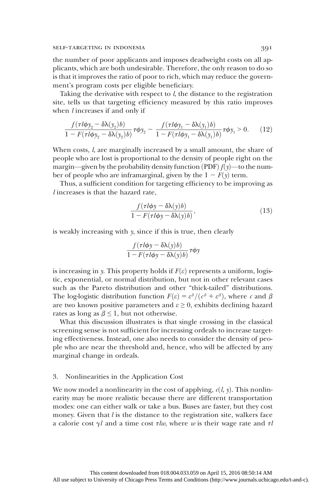the number of poor applicants and imposes deadweight costs on all applicants, which are both undesirable. Therefore, the only reason to do so is that it improves the ratio of poor to rich, which may reduce the government's program costs per eligible beneficiary.

Taking the derivative with respect to  $l$ , the distance to the registration site, tells us that targeting efficiency measured by this ratio improves when  $l$  increases if and only if

$$
\frac{f(\tau l \phi_{y_2} - \delta \lambda(y_2)b)}{1 - F(\tau l \phi_{y_2} - \delta \lambda(y_2)b)} \tau \phi_{y_2} - \frac{f(\tau l \phi_{y_1} - \delta \lambda(y_1)b)}{1 - F(\tau l \phi_{y_1} - \delta \lambda(y_1)b)} \tau \phi_{y_1} > 0. \tag{12}
$$

When costs,  $l$ , are marginally increased by a small amount, the share of people who are lost is proportional to the density of people right on the margin—given by the probability density function (PDF)  $f(y)$ —to the number of people who are inframarginal, given by the  $1 - F(y)$  term.

Thus, a sufficient condition for targeting efficiency to be improving as l increases is that the hazard rate,

$$
\frac{f(\tau l\phi y - \delta\lambda(y)b)}{1 - F(\tau l\phi y - \delta\lambda(y)b)},
$$
\n(13)

is weakly increasing with y, since if this is true, then clearly

$$
\frac{f(\tau l\phi y - \delta \lambda(y)b)}{1 - F(\tau l\phi y - \delta \lambda(y)b)}\tau \phi y
$$

is increasing in y. This property holds if  $F(\varepsilon)$  represents a uniform, logistic, exponential, or normal distribution, but not in other relevant cases such as the Pareto distribution and other "thick-tailed" distributions. The log-logistic distribution function  $F(\varepsilon) = \varepsilon^{\beta} / (c^{\beta} + \varepsilon^{\beta})$ , where c and  $\beta$ are two known positive parameters and  $\varepsilon \geq 0$ , exhibits declining hazard rates as long as  $\beta \le 1$ , but not otherwise.

What this discussion illustrates is that single crossing in the classical screening sense is not sufficient for increasing ordeals to increase targeting effectiveness. Instead, one also needs to consider the density of people who are near the threshold and, hence, who will be affected by any marginal change in ordeals.

## 3. Nonlinearities in the Application Cost

We now model a nonlinearity in the cost of applying,  $c(l, y)$ . This nonlinearity may be more realistic because there are different transportation modes: one can either walk or take a bus. Buses are faster, but they cost money. Given that  $l$  is the distance to the registration site, walkers face a calorie cost  $\gamma l$  and a time cost  $\tau l w$ , where w is their wage rate and  $\tau l$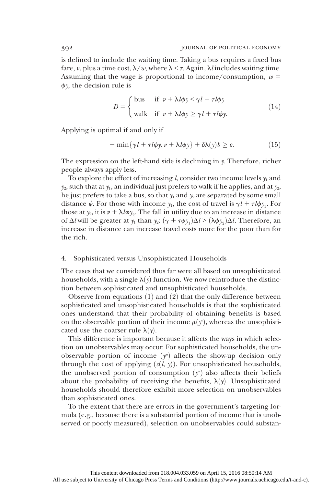is defined to include the waiting time. Taking a bus requires a fixed bus fare,  $\nu$ , plus a time cost,  $\lambda/w$ , where  $\lambda < \tau$ . Again,  $\lambda$ l includes waiting time. Assuming that the wage is proportional to income/consumption,  $w =$  $\phi$ y, the decision rule is

$$
D = \begin{cases} \text{bus} & \text{if } \nu + \lambda l \phi y < \gamma l + \tau l \phi y \\ \text{walk} & \text{if } \nu + \lambda l \phi y \ge \gamma l + \tau l \phi y. \end{cases} \tag{14}
$$

Applying is optimal if and only if

$$
-\min\{\gamma l + \tau l\phi y, \nu + \lambda l\phi y\} + \delta\lambda(y) b \ge \varepsilon. \tag{15}
$$

The expression on the left-hand side is declining in y. Therefore, richer people always apply less.

To explore the effect of increasing  $l$ , consider two income levels  $y_1$  and  $y_2$ , such that at  $y_1$ , an individual just prefers to walk if he applies, and at  $y_2$ , he just prefers to take a bus, so that  $y_1$  and  $y_2$  are separated by some small distance  $\psi$ . For those with income  $y_1$ , the cost of travel is  $\gamma l + \tau l \phi y_1$ . For those at  $y_2$ , it is  $\nu + \lambda l \phi y_2$ . The fall in utility due to an increase in distance of  $\Delta l$  will be greater at  $y_1$  than  $y_2$ :  $(\gamma + \tau \phi y_1)\Delta l > (\lambda \phi y_2)\Delta l$ . Therefore, an increase in distance can increase travel costs more for the poor than for the rich.

### 4. Sophisticated versus Unsophisticated Households

The cases that we considered thus far were all based on unsophisticated households, with a single  $\lambda(y)$  function. We now reintroduce the distinction between sophisticated and unsophisticated households.

Observe from equations  $(1)$  and  $(2)$  that the only difference between sophisticated and unsophisticated households is that the sophisticated ones understand that their probability of obtaining benefits is based on the observable portion of their income  $\mu(y^{\rho})$ , whereas the unsophisticated use the coarser rule  $\lambda(y)$ cated use the coarser rule  $\lambda(y)$ .

This difference is important because it affects the ways in which selection on unobservables may occur. For sophisticated households, the unobservable portion of income  $(y^u)$  affects the show-up decision only<br>through the cost of applying  $(c(I, y))$ . For upsophisticated households through the cost of applying  $(c(l, y))$ . For unsophisticated households, the unobserved portion of consumption  $(y^u)$  also affects their beliefs<br>about the probability of receiving the benefits  $\lambda(y)$ . Unsophisticated about the probability of receiving the benefits,  $\lambda(y)$ . Unsophisticated households should therefore exhibit more selection on unobservables than sophisticated ones.

To the extent that there are errors in the government's targeting formula (e.g., because there is a substantial portion of income that is unobserved or poorly measured), selection on unobservables could substan-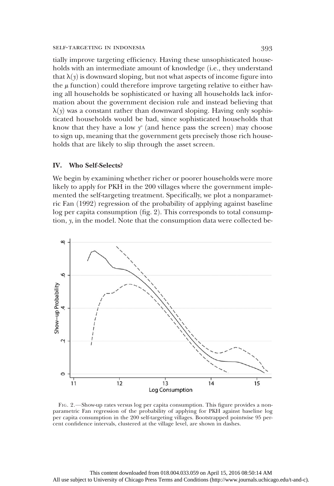## self-targeting in indonesia 393

tially improve targeting efficiency. Having these unsophisticated households with an intermediate amount of knowledge (i.e., they understand that  $\lambda(y)$  is downward sloping, but not what aspects of income figure into the  $\mu$  function) could therefore improve targeting relative to either having all households be sophisticated or having all households lack information about the government decision rule and instead believing that  $\lambda(y)$  was a constant rather than downward sloping. Having only sophisticated households would be bad, since sophisticated households that know that they have a low  $y^{\circ}$  (and hence pass the screen) may choose to sign up, meaning that the government gets precisely those rich households that are likely to slip through the asset screen.

## IV. Who Self-Selects?

We begin by examining whether richer or poorer households were more likely to apply for PKH in the 200 villages where the government implemented the self-targeting treatment. Specifically, we plot a nonparametric Fan (1992) regression of the probability of applying against baseline log per capita consumption (fig. 2). This corresponds to total consumption, y, in the model. Note that the consumption data were collected be-



FIG. 2.—Show-up rates versus log per capita consumption. This figure provides a nonparametric Fan regression of the probability of applying for PKH against baseline log per capita consumption in the 200 self-targeting villages. Bootstrapped pointwise 95 percent confidence intervals, clustered at the village level, are shown in dashes.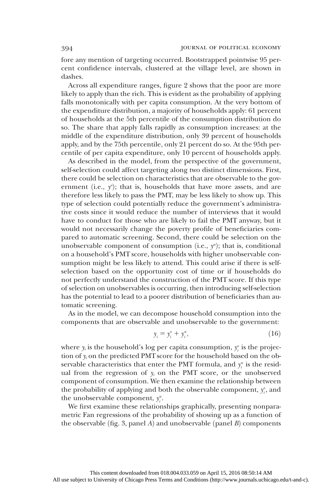fore any mention of targeting occurred. Bootstrapped pointwise 95 percent confidence intervals, clustered at the village level, are shown in dashes.

Across all expenditure ranges, figure 2 shows that the poor are more likely to apply than the rich. This is evident as the probability of applying falls monotonically with per capita consumption. At the very bottom of the expenditure distribution, a majority of households apply: 61 percent of households at the 5th percentile of the consumption distribution do so. The share that apply falls rapidly as consumption increases: at the middle of the expenditure distribution, only 39 percent of households apply, and by the 75th percentile, only 21 percent do so. At the 95th percentile of per capita expenditure, only 10 percent of households apply.

As described in the model, from the perspective of the government, self-selection could affect targeting along two distinct dimensions. First, there could be selection on characteristics that are observable to the government (i.e.,  $y^o$ ); that is, households that have more assets, and are<br>therefore less likely to pass the PMT may be less likely to show up. This therefore less likely to pass the PMT, may be less likely to show up. This type of selection could potentially reduce the government's administrative costs since it would reduce the number of interviews that it would have to conduct for those who are likely to fail the PMT anyway, but it would not necessarily change the poverty profile of beneficiaries compared to automatic screening. Second, there could be selection on the unobservable component of consumption  $(i.e., y<sup>u</sup>)$ ; that is, conditional<br>on a household's PMT score, households with higher unobservable conon a household's PMT score, households with higher unobservable consumption might be less likely to attend. This could arise if there is selfselection based on the opportunity cost of time or if households do not perfectly understand the construction of the PMT score. If this type of selection on unobservables is occurring, then introducing self-selection has the potential to lead to a poorer distribution of beneficiaries than automatic screening.

As in the model, we can decompose household consumption into the components that are observable and unobservable to the government:

$$
y_i = y_i^o + y_i^u, \tag{16}
$$

where  $y_i$  is the household's log per capita consumption,  $y_i^o$  is the projection of  $y_i$  on the predicted PMT score for the household based on the observable characteristics that enter the PMT formula, and  $y_i^u$  is the residual from the regression of  $y_i$  on the PMT score, or the unobserved component of consumption. We then examine the relationship between the probability of applying and both the observable component,  $y_i^o$ , and the unobservable component,  $y_i^u$ .

We first examine these relationships graphically, presenting nonparametric Fan regressions of the probability of showing up as a function of the observable (fig. 3, panel  $A$ ) and unobservable (panel  $B$ ) components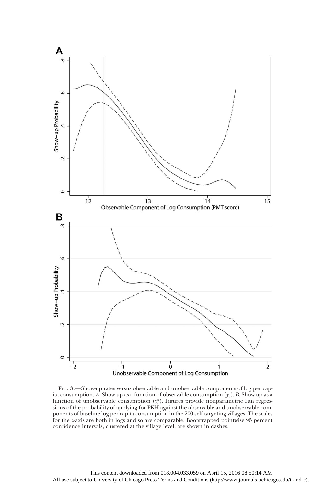

FIG. 3.—Show-up rates versus observable and unobservable components of log per capita consumption. A, Show-up as a function of observable consumption  $(y_i^p)$ . B, Show-up as a function of unobservable consumption  $(y_i^p)$ . Figures provide nonparametric Fan regresfunction of unobservable consumption  $(y_i^u)$ . Figures provide nonparametric Fan regressions of the probability of applying for PKH against the observable and unobservable comsions of the probability of applying for PKH against the observable and unobservable components of baseline log per capita consumption in the 200 self-targeting villages. The scales for the x-axis are both in logs and so are comparable. Bootstrapped pointwise 95 percent confidence intervals, clustered at the village level, are shown in dashes.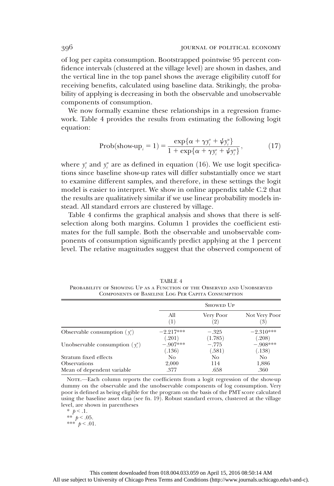of log per capita consumption. Bootstrapped pointwise 95 percent confidence intervals (clustered at the village level) are shown in dashes, and the vertical line in the top panel shows the average eligibility cutoff for receiving benefits, calculated using baseline data. Strikingly, the probability of applying is decreasing in both the observable and unobservable components of consumption.

We now formally examine these relationships in a regression framework. Table 4 provides the results from estimating the following logit equation:

Prob(show-up<sub>i</sub> = 1) = 
$$
\frac{\exp{\{\alpha + \gamma y_i^o + \psi y_i^u\}}}{1 + \exp{\{\alpha + \gamma y_i^o + \psi y_i^u\}}},
$$
 (17)

where  $y_i^o$  and  $y_i^u$  are as defined in equation (16). We use logit specifications since baseline show up rates will differ substantially once we start tions since baseline show-up rates will differ substantially once we start to examine different samples, and therefore, in these settings the logit model is easier to interpret. We show in online appendix table C.2 that the results are qualitatively similar if we use linear probability models instead. All standard errors are clustered by village.

Table 4 confirms the graphical analysis and shows that there is selfselection along both margins. Column 1 provides the coefficient estimates for the full sample. Both the observable and unobservable components of consumption significantly predict applying at the 1 percent level. The relative magnitudes suggest that the observed component of

| TABLE 4                                                                |
|------------------------------------------------------------------------|
| Probability of Showing Up as a Function of the Observed and Unobserved |
| COMPONENTS OF BASELINE LOG PER CAPITA CONSUMPTION                      |

|                                    |                      | <b>SHOWED UP</b>         |                                   |
|------------------------------------|----------------------|--------------------------|-----------------------------------|
|                                    | All<br>(1)           | Very Poor<br>(2)         | Not Very Poor<br>$\left(3\right)$ |
| Observable consumption $(y_i^o)$   | $-2.217***$          | $-.325$                  | $-2.310***$                       |
| Unobservable consumption $(y_i^u)$ | (.201)<br>$-.907***$ | (1.785)<br>$-.775$       | (.208)<br>$-.908***$              |
| Stratum fixed effects              | (.136)<br>No.        | (.581)<br>N <sub>o</sub> | (.138)<br>No.                     |
| <b>Observations</b>                | 2,000                | 114                      | 1,886                             |
| Mean of dependent variable         | .377                 | .658                     | .360                              |

NOTE.—Each column reports the coefficients from a logit regression of the show-up dummy on the observable and the unobservable components of log consumption. Very poor is defined as being eligible for the program on the basis of the PMT score calculated using the baseline asset data (see fn. 19). Robust standard errors, clustered at the village level, are shown in parentheses

\*  $p < 1$ . \*\*  $p < .05$ . \*\*\*  $p < .01$ .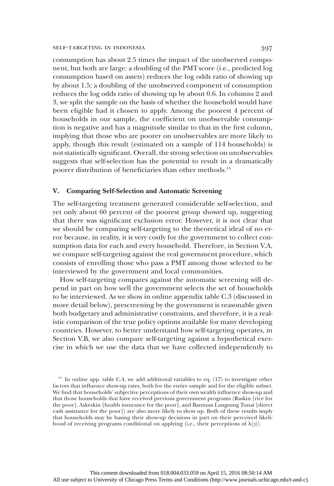## self-targeting in indonesia 397

consumption has about 2.5 times the impact of the unobserved component, but both are large: a doubling of the PMT score (i.e., predicted log consumption based on assets) reduces the log odds ratio of showing up by about 1.5; a doubling of the unobserved component of consumption reduces the log odds ratio of showing up by about 0.6. In columns 2 and 3, we split the sample on the basis of whether the household would have been eligible had it chosen to apply. Among the poorest 4 percent of households in our sample, the coefficient on unobservable consumption is negative and has a magnitude similar to that in the first column, implying that those who are poorer on unobservables are more likely to apply, though this result (estimated on a sample of 114 households) is not statistically significant. Overall, the strong selection on unobservables suggests that self-selection has the potential to result in a dramatically poorer distribution of beneficiaries than other methods.15

# V. Comparing Self-Selection and Automatic Screening

The self-targeting treatment generated considerable self-selection, and yet only about 60 percent of the poorest group showed up, suggesting that there was significant exclusion error. However, it is not clear that we should be comparing self-targeting to the theoretical ideal of no error because, in reality, it is very costly for the government to collect consumption data for each and every household. Therefore, in Section V.A, we compare self-targeting against the real government procedure, which consists of enrolling those who pass a PMT among those selected to be interviewed by the government and local communities.

How self-targeting compares against the automatic screening will depend in part on how well the government selects the set of households to be interviewed. As we show in online appendix table  $C.3$  (discussed in more detail below), prescreening by the government is reasonable given both budgetary and administrative constraints, and therefore, it is a realistic comparison of the true policy options available for many developing countries. However, to better understand how self-targeting operates, in Section V.B, we also compare self-targeting against a hypothetical exercise in which we use the data that we have collected independently to

 $15$  In online app. table C.4, we add additional variables to eq.  $(17)$  to investigate other factors that influence show-up rates, both for the entire sample and for the eligible subset. We find that households' subjective perceptions of their own wealth influence show-up and that those households that have received previous government programs (Raskin [rice for the poor], Askeskin [health insurance for the poor], and Bantuan Langsung Tunai [direct cash assistance for the poor]) are also more likely to show up. Both of these results imply that households may be basing their show-up decisions in part on their perceived likelihood of receiving programs conditional on applying (i.e., their perceptions of  $\lambda(y)$ ).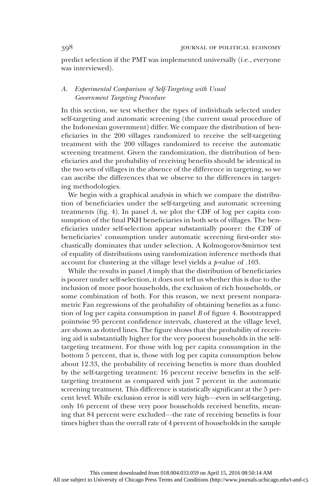predict selection if the PMT was implemented universally (i.e., everyone was interviewed).

# A. Experimental Comparison of Self-Targeting with Usual Government Targeting Procedure

In this section, we test whether the types of individuals selected under self-targeting and automatic screening (the current usual procedure of the Indonesian government) differ. We compare the distribution of beneficiaries in the 200 villages randomized to receive the self-targeting treatment with the 200 villages randomized to receive the automatic screening treatment. Given the randomization, the distribution of beneficiaries and the probability of receiving benefits should be identical in the two sets of villages in the absence of the difference in targeting, so we can ascribe the differences that we observe to the differences in targeting methodologies.

We begin with a graphical analysis in which we compare the distribution of beneficiaries under the self-targeting and automatic screening treatments (fig. 4). In panel  $A$ , we plot the CDF of log per capita consumption of the final PKH beneficiaries in both sets of villages. The beneficiaries under self-selection appear substantially poorer: the CDF of beneficiaries' consumption under automatic screening first-order stochastically dominates that under selection. A Kolmogorov-Smirnov test of equality of distributions using randomization inference methods that account for clustering at the village level yields a  $p$ -value of .103.

While the results in panel A imply that the distribution of beneficiaries is poorer under self-selection, it does not tell us whether this is due to the inclusion of more poor households, the exclusion of rich households, or some combination of both. For this reason, we next present nonparametric Fan regressions of the probability of obtaining benefits as a function of log per capita consumption in panel B of figure 4. Bootstrapped pointwise 95 percent confidence intervals, clustered at the village level, are shown as dotted lines. The figure shows that the probability of receiving aid is substantially higher for the very poorest households in the selftargeting treatment. For those with log per capita consumption in the bottom 5 percent, that is, those with log per capita consumption below about 12.33, the probability of receiving benefits is more than doubled by the self-targeting treatment: 16 percent receive benefits in the selftargeting treatment as compared with just 7 percent in the automatic screening treatment. This difference is statistically significant at the 5 percent level. While exclusion error is still very high—even in self-targeting, only 16 percent of these very poor households received benefits, meaning that 84 percent were excluded—the rate of receiving benefits is four times higher than the overall rate of 4 percent of households in the sample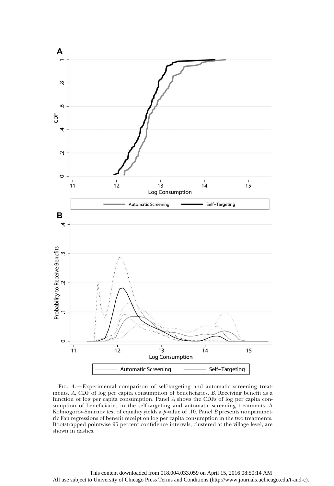

FIG. 4.—Experimental comparison of self-targeting and automatic screening treatments. A, CDF of log per capita consumption of beneficiaries. B, Receiving benefit as a function of log per capita consumption. Panel A shows the CDFs of log per capita consumption of beneficiaries in the self-targeting and automatic screening treatments. A Kolmogorov-Smirnov test of equality yields a  $p$ -value of .10. Panel B presents nonparametric Fan regressions of benefit receipt on log per capita consumption in the two treatments. Bootstrapped pointwise 95 percent confidence intervals, clustered at the village level, are shown in dashes.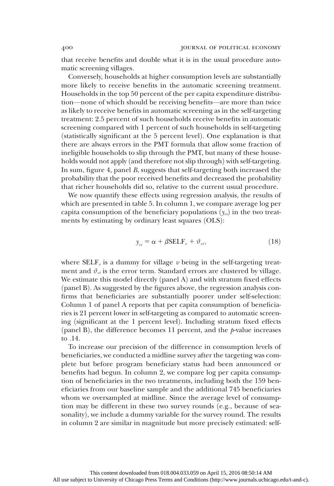that receive benefits and double what it is in the usual procedure automatic screening villages.

Conversely, households at higher consumption levels are substantially more likely to receive benefits in the automatic screening treatment. Households in the top 50 percent of the per capita expenditure distribution—none of which should be receiving benefits—are more than twice as likely to receive benefits in automatic screening as in the self-targeting treatment: 2.5 percent of such households receive benefits in automatic screening compared with 1 percent of such households in self-targeting (statistically significant at the 5 percent level). One explanation is that there are always errors in the PMT formula that allow some fraction of ineligible households to slip through the PMT, but many of these households would not apply (and therefore not slip through) with self-targeting. In sum, figure 4, panel B, suggests that self-targeting both increased the probability that the poor received benefits and decreased the probability that richer households did so, relative to the current usual procedure.

We now quantify these effects using regression analysis, the results of which are presented in table 5. In column 1, we compare average log per capita consumption of the beneficiary populations  $(y_{vi})$  in the two treatments by estimating by ordinary least squares (OLS):

$$
y_{vi} = \alpha + \beta \text{SELF}_v + \vartheta_{vi}, \tag{18}
$$

where  $\text{SELF}_{v}$  is a dummy for village v being in the self-targeting treatment and  $\vartheta_{vi}$  is the error term. Standard errors are clustered by village. We estimate this model directly (panel  $A$ ) and with stratum fixed effects  $(panel B)$ . As suggested by the figures above, the regression analysis confirms that beneficiaries are substantially poorer under self-selection: Column 1 of panel A reports that per capita consumption of beneficiaries is 21 percent lower in self-targeting as compared to automatic screening (significant at the 1 percent level). Including stratum fixed effects (panel B), the difference becomes 11 percent, and the  $p$ -value increases to .14.

To increase our precision of the difference in consumption levels of beneficiaries, we conducted a midline survey after the targeting was complete but before program beneficiary status had been announced or benefits had begun. In column 2, we compare log per capita consumption of beneficiaries in the two treatments, including both the 159 beneficiaries from our baseline sample and the additional 745 beneficiaries whom we oversampled at midline. Since the average level of consumption may be different in these two survey rounds (e.g., because of seasonality), we include a dummy variable for the survey round. The results in column 2 are similar in magnitude but more precisely estimated: self-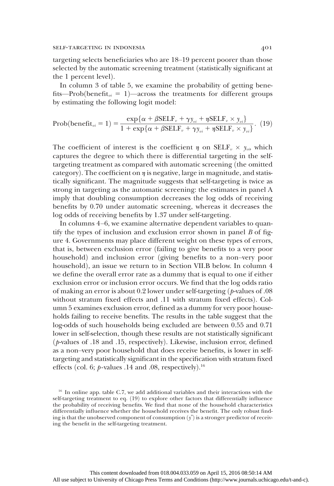targeting selects beneficiaries who are 18–19 percent poorer than those selected by the automatic screening treatment (statistically significant at the 1 percent level).

In column 3 of table 5, we examine the probability of getting benefits—Prob(benefit<sub>vi</sub> = 1)—across the treatments for different groups by estimating the following logit model:

$$
\text{Prob}(\text{benefit}_{vi} = 1) = \frac{\exp\{\alpha + \beta \text{SELF}_{v} + \gamma y_{vi} + \eta \text{SELF}_{v} \times y_{vi}\}}{1 + \exp\{\alpha + \beta \text{SELF}_{v} + \gamma y_{vi} + \eta \text{SELF}_{v} \times y_{vi}\}}. (19)
$$

The coefficient of interest is the coefficient  $\eta$  on SELF<sub>v</sub>  $\times$   $y_{vi}$ , which captures the degree to which there is differential targeting in the selftargeting treatment as compared with automatic screening (the omitted category). The coefficient on  $\eta$  is negative, large in magnitude, and statistically significant. The magnitude suggests that self-targeting is twice as strong in targeting as the automatic screening: the estimates in panel A imply that doubling consumption decreases the log odds of receiving benefits by 0.70 under automatic screening, whereas it decreases the log odds of receiving benefits by 1.37 under self-targeting.

In columns 4–6, we examine alternative dependent variables to quantify the types of inclusion and exclusion error shown in panel  $B$  of figure 4. Governments may place different weight on these types of errors, that is, between exclusion error (failing to give benefits to a very poor household) and inclusion error (giving benefits to a non–very poor household), an issue we return to in Section VII.B below. In column 4 we define the overall error rate as a dummy that is equal to one if either exclusion error or inclusion error occurs. We find that the log odds ratio of making an error is about 0.2 lower under self-targeting  $(p$ -values of 0.08 without stratum fixed effects and .11 with stratum fixed effects). Column 5 examines exclusion error, defined as a dummy for very poor households failing to receive benefits. The results in the table suggest that the log-odds of such households being excluded are between 0.55 and 0.71 lower in self-selection, though these results are not statistically significant ( $p$ -values of .18 and .15, respectively). Likewise, inclusion error, defined as a non–very poor household that does receive benefits, is lower in selftargeting and statistically significant in the specification with stratum fixed effects (col. 6;  $p$ -values .14 and .08, respectively).<sup>16</sup>

<sup>&</sup>lt;sup>16</sup> In online app. table C.7, we add additional variables and their interactions with the self-targeting treatment to eq.  $(19)$  to explore other factors that differentially influence the probability of receiving benefits. We find that none of the household characteristics differentially influence whether the household receives the benefit. The only robust finding is that the unobserved component of consumption  $(y'')$  is a stronger predictor of receiving the benefit in the self-targeting treatment ing the benefit in the self-targeting treatment.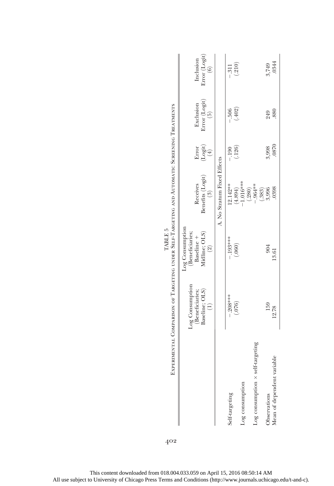|                                   | Log Consumption<br>(Beneficiaries;<br>Baseline; OLS)<br>$(1)$ | Log Consumption<br>(Beneficiaries;<br>Midline; OLS)<br>Baseline +<br>(2) | $\begin{array}{c} \rm{Benchis}\; (\rm{Logit}) \\ (3) \end{array}$<br>Receives | $\begin{array}{c} \mathrm{(Logit)} \\ \mathrm{(4)} \end{array}$<br>Error | $\begin{array}{l} \mbox{Error (Logit)}\\ \mbox{(5)} \end{array}$<br>Exclusion | Error $(Logit)$<br>(6)<br>Inclusion |
|-----------------------------------|---------------------------------------------------------------|--------------------------------------------------------------------------|-------------------------------------------------------------------------------|--------------------------------------------------------------------------|-------------------------------------------------------------------------------|-------------------------------------|
|                                   |                                                               |                                                                          | A. No Stratum Fixed Effects                                                   |                                                                          |                                                                               |                                     |
| Self-targeting                    | $-.208***$                                                    | $-.193***$                                                               | 12.142**                                                                      | $-190$                                                                   | $-.506$                                                                       | $-311$                              |
| Log consumption                   | (076)                                                         | (.060)                                                                   | $(4.894)$<br>-1.016***<br>(.280)                                              | (.126)                                                                   | .402)                                                                         | (.210)                              |
| og consumption × self-targeting   |                                                               |                                                                          | $-964**$<br>(.383)                                                            |                                                                          |                                                                               |                                     |
| <b>bservations</b>                | 159                                                           | 904                                                                      | 3,996                                                                         | 3,998                                                                    | 249                                                                           | 3,749                               |
| <i>dean</i> of dependent variable | 12.78                                                         | 13.61                                                                    | 0398                                                                          | .0870                                                                    | 880                                                                           | 0344                                |
|                                   |                                                               |                                                                          |                                                                               |                                                                          |                                                                               |                                     |

TABLE S AUTOMORPHE SELF-TARGETHG AUTOMORPHE SELF-TARGET SCREENING TRATWENTS Experimental Comparison of Targeting under Self-Targeting and Automatic Screening Treatments TABLE 5

402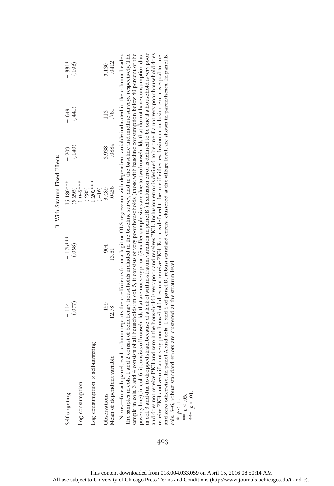|                                                                                                                                                                                                                                                                                                                                                                                                                                                                                                                                                                                                                                                                                                                                                                                                                                                                                                                                                                                                                                                                                                                                                                                                            |                |                      | B. With Stratum Fixed Effects |                  |                    |                   |
|------------------------------------------------------------------------------------------------------------------------------------------------------------------------------------------------------------------------------------------------------------------------------------------------------------------------------------------------------------------------------------------------------------------------------------------------------------------------------------------------------------------------------------------------------------------------------------------------------------------------------------------------------------------------------------------------------------------------------------------------------------------------------------------------------------------------------------------------------------------------------------------------------------------------------------------------------------------------------------------------------------------------------------------------------------------------------------------------------------------------------------------------------------------------------------------------------------|----------------|----------------------|-------------------------------|------------------|--------------------|-------------------|
| Self-targeting                                                                                                                                                                                                                                                                                                                                                                                                                                                                                                                                                                                                                                                                                                                                                                                                                                                                                                                                                                                                                                                                                                                                                                                             | (77)<br>$-114$ | $-.175***$<br>(.058) | 15.180***<br>(5.295)          | (.140)<br>$-209$ | (.441)<br>$-0.649$ | $-.331*$<br>(192) |
| Log consumption                                                                                                                                                                                                                                                                                                                                                                                                                                                                                                                                                                                                                                                                                                                                                                                                                                                                                                                                                                                                                                                                                                                                                                                            |                |                      | $-1.042***$<br>(.283)         |                  |                    |                   |
| Log consumption × self-targeting                                                                                                                                                                                                                                                                                                                                                                                                                                                                                                                                                                                                                                                                                                                                                                                                                                                                                                                                                                                                                                                                                                                                                                           |                |                      | $-1.202***$<br>(.416)         |                  |                    |                   |
| Mean of dependent variable<br><b>Oservations</b>                                                                                                                                                                                                                                                                                                                                                                                                                                                                                                                                                                                                                                                                                                                                                                                                                                                                                                                                                                                                                                                                                                                                                           | 159<br>12.78   | 904<br>13.61         | 0456<br>3,489                 | .0884<br>3,938   | 761<br>113         | 0412<br>3,130     |
| and does not receive PKH and zero if the household is very poor and receives PKH. Inclusion error is defined to be one if a not very poor household does<br>poverty line); in col. 6, it consists of households that are not very poor. (Smaller sample sizes are due to two households that do not have consumption data<br>in col. 3 and due to dropped strata because of a lack of within-<br>receive PKH and zero if a not very poor household does not receive PKH. Error is defined to be one if either exclusion or inclusion error is equal to one,<br>and zero otherwise. In panel A and cols. 1 and 2 of panel B, robust standard errors, clustered at the village level, are shown in parentheses. In panel B,<br>sample in cols. 3 and 4 consists of all households; in col. 5, it consists of very poor households (those with baseline consumption below 80 percent of the<br>The samples in cols. 1 and 2 consist of beneficiary households included in the baseline survey, and in the baseline and midline surveys, respectively. The<br>NOTE.—In each panel, each column reports the coefficients from a logit or OLS regression with dependent variable indicated in the column header. |                |                      |                               |                  |                    |                   |

\*  $p < 1$ .<br>\*\*  $p < .05$ .

403

cols. 3–6, robust standard errors are clustered at the stratum level.

cols. 3-6, robust standard errors are clustered at the stratum level.

\*\*\*  $p < 01$ .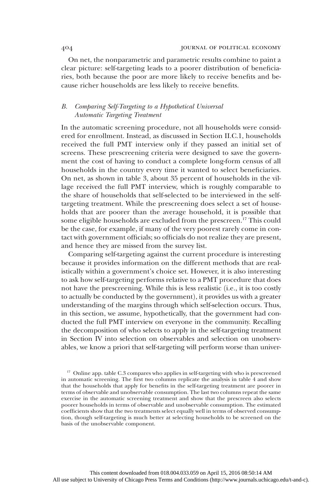On net, the nonparametric and parametric results combine to paint a clear picture: self-targeting leads to a poorer distribution of beneficiaries, both because the poor are more likely to receive benefits and because richer households are less likely to receive benefits.

# B. Comparing Self-Targeting to a Hypothetical Universal Automatic Targeting Treatment

In the automatic screening procedure, not all households were considered for enrollment. Instead, as discussed in Section II.C.1, households received the full PMT interview only if they passed an initial set of screens. These prescreening criteria were designed to save the government the cost of having to conduct a complete long-form census of all households in the country every time it wanted to select beneficiaries. On net, as shown in table 3, about 35 percent of households in the village received the full PMT interview, which is roughly comparable to the share of households that self-selected to be interviewed in the selftargeting treatment. While the prescreening does select a set of households that are poorer than the average household, it is possible that some eligible households are excluded from the prescreen.<sup>17</sup> This could be the case, for example, if many of the very poorest rarely come in contact with government officials; so officials do not realize they are present, and hence they are missed from the survey list.

Comparing self-targeting against the current procedure is interesting because it provides information on the different methods that are realistically within a government's choice set. However, it is also interesting to ask how self-targeting performs relative to a PMT procedure that does not have the prescreening. While this is less realistic (i.e., it is too costly to actually be conducted by the government), it provides us with a greater understanding of the margins through which self-selection occurs. Thus, in this section, we assume, hypothetically, that the government had conducted the full PMT interview on everyone in the community. Recalling the decomposition of who selects to apply in the self-targeting treatment in Section IV into selection on observables and selection on unobservables, we know a priori that self-targeting will perform worse than univer-

<sup>&</sup>lt;sup>17</sup> Online app. table C.3 compares who applies in self-targeting with who is prescreened in automatic screening. The first two columns replicate the analysis in table 4 and show that the households that apply for benefits in the self-targeting treatment are poorer in terms of observable and unobservable consumption. The last two columns repeat the same exercise in the automatic screening treatment and show that the prescreen also selects poorer households in terms of observable and unobservable consumption. The estimated coefficients show that the two treatments select equally well in terms of observed consumption, though self-targeting is much better at selecting households to be screened on the basis of the unobservable component.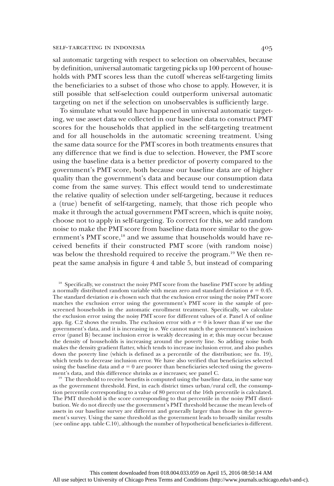### self-targeting in indonesia 405

sal automatic targeting with respect to selection on observables, because by definition, universal automatic targeting picks up 100 percent of households with PMT scores less than the cutoff whereas self-targeting limits the beneficiaries to a subset of those who chose to apply. However, it is still possible that self-selection could outperform universal automatic targeting on net if the selection on unobservables is sufficiently large.

To simulate what would have happened in universal automatic targeting, we use asset data we collected in our baseline data to construct PMT scores for the households that applied in the self-targeting treatment and for all households in the automatic screening treatment. Using the same data source for the PMT scores in both treatments ensures that any difference that we find is due to selection. However, the PMT score using the baseline data is a better predictor of poverty compared to the government's PMT score, both because our baseline data are of higher quality than the government's data and because our consumption data come from the same survey. This effect would tend to underestimate the relative quality of selection under self-targeting, because it reduces a (true) benefit of self-targeting, namely, that those rich people who make it through the actual government PMT screen, which is quite noisy, choose not to apply in self-targeting. To correct for this, we add random noise to make the PMT score from baseline data more similar to the government's PMT score,<sup>18</sup> and we assume that households would have received benefits if their constructed PMT score (with random noise) was below the threshold required to receive the program.<sup>19</sup> We then repeat the same analysis in figure 4 and table 5, but instead of comparing

<sup>19</sup> The threshold to receive benefits is computed using the baseline data, in the same way as the government threshold. First, in each district times urban/rural cell, the consumption percentile corresponding to a value of 80 percent of the 16th percentile is calculated. The PMT threshold is the score corresponding to that percentile in the noisy PMT distribution. We do not directly use the government's PMT threshold because the mean levels of assets in our baseline survey are different and generally larger than those in the government's survey. Using the same threshold as the government leads to broadly similar results (see online app. table C.10), although the number of hypothetical beneficiaries is different.

<sup>&</sup>lt;sup>18</sup> Specifically, we construct the noisy PMT score from the baseline PMT score by adding a normally distributed random variable with mean zero and standard deviation  $\sigma = 0.45$ . The standard deviation  $\sigma$  is chosen such that the exclusion error using the noisy PMT score matches the exclusion error using the government's PMT score in the sample of prescreened households in the automatic enrollment treatment. Specifically, we calculate the exclusion error using the noisy PMT score for different values of  $\sigma$ . Panel A of online app. fig. C.2 shows the results. The exclusion error with  $\sigma = 0$  is lower than if we use the government's data, and it is increasing in j. We cannot match the government's inclusion error (panel B) because inclusion error is weakly decreasing in  $\sigma$ ; this may occur because the density of households is increasing around the poverty line. So adding noise both makes the density gradient flatter, which tends to increase inclusion error, and also pushes down the poverty line (which is defined as a percentile of the distribution; see fn. 19), which tends to decrease inclusion error. We have also verified that beneficiaries selected using the baseline data and  $\sigma = 0$  are poorer than beneficiaries selected using the government's data, and this difference shrinks as  $\sigma$  increases; see panel C.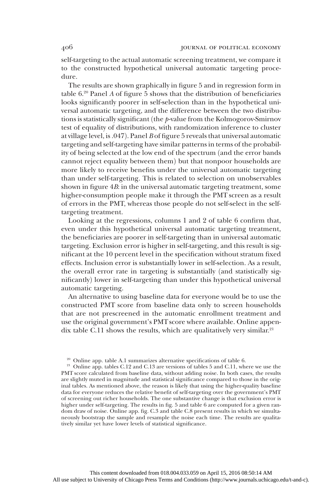self-targeting to the actual automatic screening treatment, we compare it to the constructed hypothetical universal automatic targeting procedure.

The results are shown graphically in figure 5 and in regression form in table  $6.^{20}$  Panel A of figure 5 shows that the distribution of beneficiaries looks significantly poorer in self-selection than in the hypothetical universal automatic targeting, and the difference between the two distributions is statistically significant (the  $p$ -value from the Kolmogorov-Smirnov test of equality of distributions, with randomization inference to cluster at village level, is  $.047$ ). Panel B of figure 5 reveals that universal automatic targeting and self-targeting have similar patterns in terms of the probability of being selected at the low end of the spectrum (and the error bands cannot reject equality between them) but that nonpoor households are more likely to receive benefits under the universal automatic targeting than under self-targeting. This is related to selection on unobservables shown in figure 4B: in the universal automatic targeting treatment, some higher-consumption people make it through the PMT screen as a result of errors in the PMT, whereas those people do not self-select in the selftargeting treatment.

Looking at the regressions, columns 1 and 2 of table 6 confirm that, even under this hypothetical universal automatic targeting treatment, the beneficiaries are poorer in self-targeting than in universal automatic targeting. Exclusion error is higher in self-targeting, and this result is significant at the 10 percent level in the specification without stratum fixed effects. Inclusion error is substantially lower in self-selection. As a result, the overall error rate in targeting is substantially (and statistically significantly) lower in self-targeting than under this hypothetical universal automatic targeting.

An alternative to using baseline data for everyone would be to use the constructed PMT score from baseline data only to screen households that are not prescreened in the automatic enrollment treatment and use the original government's PMT score where available. Online appendix table C.11 shows the results, which are qualitatively very similar.<sup>21</sup>

<sup>&</sup>lt;sup>20</sup> Online app. table A.1 summarizes alternative specifications of table 6.

<sup>&</sup>lt;sup>21</sup> Online app. tables C.12 and C.13 are versions of tables 5 and C.11, where we use the PMT score calculated from baseline data, without adding noise. In both cases, the results are slightly muted in magnitude and statistical significance compared to those in the original tables. As mentioned above, the reason is likely that using the higher-quality baseline data for everyone reduces the relative benefit of self-targeting over the government's PMT of screening out richer households. The one substantive change is that exclusion error is higher under self-targeting. The results in fig. 5 and table 6 are computed for a given random draw of noise. Online app. fig. C.3 and table C.8 present results in which we simultaneously bootstrap the sample and resample the noise each time. The results are qualitatively similar yet have lower levels of statistical significance.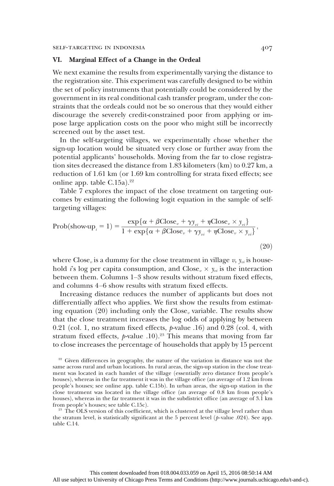# VI. Marginal Effect of a Change in the Ordeal

We next examine the results from experimentally varying the distance to the registration site. This experiment was carefully designed to be within the set of policy instruments that potentially could be considered by the government in its real conditional cash transfer program, under the constraints that the ordeals could not be so onerous that they would either discourage the severely credit-constrained poor from applying or impose large application costs on the poor who might still be incorrectly screened out by the asset test.

In the self-targeting villages, we experimentally chose whether the sign-up location would be situated very close or further away from the potential applicants' households. Moving from the far to close registration sites decreased the distance from 1.83 kilometers  $(km)$  to 0.27 km, a reduction of  $1.61 \text{ km}$  (or  $1.69 \text{ km}$  controlling for strata fixed effects; see online app. table C.15a).<sup>22</sup><br>Table 7 explores the im

Table 7 explores the impact of the close treatment on targeting outcomes by estimating the following logit equation in the sample of selftargeting villages:

$$
\text{Prob}(\text{show-up}_{i} = 1) = \frac{\exp\{\alpha + \beta \text{Close}_{v} + \gamma y_{vi} + \eta \text{Close}_{v} \times y_{vi}\}}{1 + \exp\{\alpha + \beta \text{Close}_{v} + \gamma y_{vi} + \eta \text{Close}_{v} \times y_{vi}\}},\tag{20}
$$

where Close<sub>v</sub> is a dummy for the close treatment in village v,  $y_{vi}$  is household i's log per capita consumption, and Close<sub>v</sub>  $\times$   $y_w$  is the interaction between them. Columns 1–3 show results without stratum fixed effects, and columns 4–6 show results with stratum fixed effects.

Increasing distance reduces the number of applicants but does not differentially affect who applies. We first show the results from estimating equation  $(20)$  including only the Close<sub>v</sub> variable. The results show that the close treatment increases the log odds of applying by between 0.21 (col. 1, no stratum fixed effects,  $p$ -value .16) and 0.28 (col. 4, with stratum fixed effects, *p*-value .10<sup>23</sup>. This means that moving from far<br>to close increases the percentage of households that apply by 15 percent to close increases the percentage of households that apply by 15 percent

<sup>&</sup>lt;sup>22</sup> Given differences in geography, the nature of the variation in distance was not the same across rural and urban locations. In rural areas, the sign-up station in the close treatment was located in each hamlet of the village (essentially zero distance from people's houses), whereas in the far treatment it was in the village office (an average of 1.2 km from people's houses; see online app. table C.15b). In urban areas, the sign-up station in the close treatment was located in the village office (an average of  $0.8$  km from people's houses), whereas in the far treatment it was in the subdistrict office (an average of 3.1 km from people's houses; see table C.15c).

<sup>&</sup>lt;sup>23</sup> The OLS version of this coefficient, which is clustered at the village level rather than the stratum level, is statistically significant at the 5 percent level  $(p$ -value .024). See app. table C.14.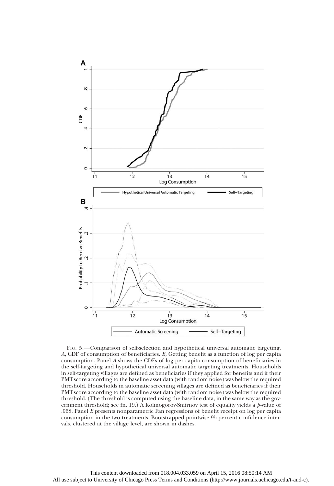

FIG. 5.—Comparison of self-selection and hypothetical universal automatic targeting. A, CDF of consumption of beneficiaries. B, Getting benefit as a function of log per capita consumption. Panel A shows the CDFs of log per capita consumption of beneficiaries in the self-targeting and hypothetical universal automatic targeting treatments. Households in self-targeting villages are defined as beneficiaries if they applied for benefits and if their PMT score according to the baseline asset data (with random noise) was below the required threshold. Households in automatic screening villages are defined as beneficiaries if their PMT score according to the baseline asset data (with random noise) was below the required threshold. (The threshold is computed using the baseline data, in the same way as the government threshold; see fn. 19.) A Kolmogorov-Smirnov test of equality yields a  $p$ -value of .068. Panel B presents nonparametric Fan regressions of benefit receipt on log per capita consumption in the two treatments. Bootstrapped pointwise 95 percent confidence intervals, clustered at the village level, are shown in dashes.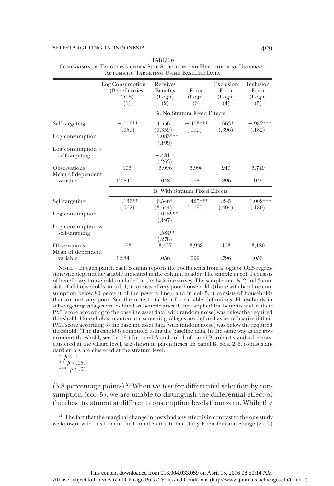### self-targeting in indonesia  $409$

|                                            | Log Consumption<br>(Beneficiaries:<br>OLS)<br>(1) | Receives<br><b>Benefits</b><br>(Logit)<br>(2) | Error<br>(Logit)<br>(3)       | Exclusion<br>Error<br>(Logit)<br>(4) | Inclusion<br>Error<br>(Logit)<br>(5) |
|--------------------------------------------|---------------------------------------------------|-----------------------------------------------|-------------------------------|--------------------------------------|--------------------------------------|
|                                            |                                                   |                                               | A. No Stratum Fixed Effects   |                                      |                                      |
| Self-targeting                             | $-.116**$<br>(.059)                               | 4.556<br>(3.359)                              | $-.403***$<br>(.119)          | $.663*$<br>(.396)                    | $-.982***$<br>(.182)                 |
| Log consumption                            |                                                   | $-1.083***$<br>(.199)                         |                               |                                      |                                      |
| Log consumption $\times$<br>self-targeting |                                                   | $-.431$<br>(.263)                             |                               |                                      |                                      |
| <b>Observations</b><br>Mean of dependent   | 193                                               | 3.996                                         | 3,998                         | 249                                  | 3,749                                |
| variable                                   | 12.84                                             | .048                                          | .098                          | .896                                 | .045                                 |
|                                            |                                                   |                                               | B. With Stratum Fixed Effects |                                      |                                      |
| Self-targeting                             | $-.136**$<br>(.062)                               | $6.546*$<br>(3.544)                           | $-.425***$<br>(.119)          | .245<br>(.404)                       | $-1.002***$<br>(.180)                |
| Log consumption                            |                                                   | $-1.048***$<br>(.197)                         |                               |                                      |                                      |
| Log consumption $\times$<br>self-targeting |                                                   | $-.584**$<br>(.278)                           |                               |                                      |                                      |
| <b>Observations</b>                        | 193                                               | 3,437                                         | 3.938                         | 103                                  | 3,180                                |
| Mean of dependent<br>variable              | 12.84                                             | .056                                          | .099                          | .796                                 | .053                                 |

TABLE 6 Comparison of Targeting under Self-Selection and Hypothetical Universal Automatic Targeting Using Baseline Data

NOTE.—In each panel, each column reports the coefficients from a logit or OLS regression with dependent variable indicated in the column header. The sample in col. 1 consists of beneficiary households included in the baseline survey. The sample in cols. 2 and 3 consists of all households; in col. 4, it consists of very poor households (those with baseline consumption below 80 percent of the poverty line); and in col. 5, it consists of households sumption below 80 percent of the poverty line); and in col. 5, it consists of households<br>that are not very poor. See the note to table 5 for variable definitions. Households in self-targeting villages are defined as beneficiaries if they applied for benefits and if their<br>PMT score according to the baseline asset data (with random noise) was below the required PMT score according to the baseline asset data (with random noise) was below the required<br>threshold. Households in automatic screening villages are defined as beneficiaries if their PMT score according to the baseline asset data (with random noise) was below the required threshold. (The threshold is computed using the baseline data, in the same way as the govthreshold. (The threshold is computed using the baseline data, in the same way as the government threshold: see fn  $(19)$  In panel A and col  $(1)$  of panel B, robust standard errors ernment threshold; see fn. 19.) In panel A and col. 1 of panel B, robust standard errors,<br>clustered at the village level, are shown in parentheses. In panel B, cols. 2–5, robust stanclustered at the village level, are shown in parentheses. In panel B, cols.  $2-5$ , robust standard errors are clustered at the stratum level.

\* 
$$
p < .1
$$
.  
\*\*  $p < .05$ .  
\*\*\*  $p < .01$ .

 $(5.8 \text{ percentage points})$ .<sup>24</sup> When we test for differential selection by con-<br>sumption  $(\text{col}, 5)$ , we are unable to distinguish the differential effect of sumption  $(col. 5)$ , we are unable to distinguish the differential effect of the close treatment at different consumption levels from zero. While the

<sup>24</sup> The fact that the marginal change in costs had any effect is in contrast to the one study we know of with this form in the United States. In that study, Ebenstein and Stange (2010)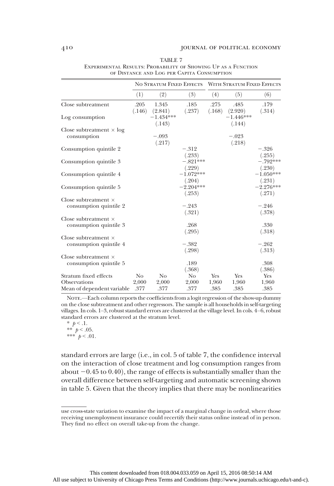|                                                       |                | <b>NO STRATUM FIXED EFFECTS</b> |                       |                | <b>WITH STRATUM FIXED EFFECTS</b> |                       |
|-------------------------------------------------------|----------------|---------------------------------|-----------------------|----------------|-----------------------------------|-----------------------|
|                                                       | (1)            | (2)                             | (3)                   | (4)            | (5)                               | (6)                   |
| Close subtreatment                                    | .205<br>(.146) | 1.345<br>(2.841)                | .185<br>(.237)        | .275<br>(.168) | .485<br>(2.920)                   | .179<br>(.314)        |
| Log consumption                                       |                | $-1.434***$<br>(.143)           |                       |                | $-1.446***$<br>(.144)             |                       |
| Close subtreatment $\times$ log<br>consumption        |                | $-.093$<br>(.217)               |                       |                | $-.023$<br>(.218)                 |                       |
| Consumption quintile 2                                |                |                                 | $-.312$<br>(.233)     |                |                                   | $-.326$<br>(.255)     |
| Consumption quintile 3                                |                |                                 | $-.821***$<br>(.229)  |                |                                   | $-.792***$<br>(.230)  |
| Consumption quintile 4                                |                |                                 | $-1.072***$<br>(.204) |                |                                   | $-1.050***$<br>(.231) |
| Consumption quintile 5                                |                |                                 | $-2.204***$<br>(.253) |                |                                   | $-2.276***$<br>(.271) |
| Close subtreatment $\times$<br>consumption quintile 2 |                |                                 | $-.243$<br>(.321)     |                |                                   | $-.246$<br>(.378)     |
| Close subtreatment $\times$<br>consumption quintile 3 |                |                                 | .268<br>(.295)        |                |                                   | .330<br>(.318)        |
| Close subtreatment $\times$<br>consumption quintile 4 |                |                                 | $-.382$<br>(.298)     |                |                                   | $-.262$<br>(.313)     |
| Close subtreatment $\times$<br>consumption quintile 5 |                |                                 | .189<br>(.368)        |                |                                   | .308<br>(.386)        |
| Stratum fixed effects                                 | N <sub>0</sub> | N <sub>0</sub>                  | No.                   | Yes            | Yes                               | Yes                   |
| Observations<br>Mean of dependent variable            | 2,000<br>.377  | 2,000<br>.377                   | 2,000<br>.377         | 1,960<br>.385  | 1,960<br>.385                     | 1,960<br>.385         |

TABLE 7 Experimental Results: Probability of Showing Up as a Function of Distance and Log per Capita Consumption

NOTE.—Each column reports the coefficients from a logit regression of the show-up dummy on the close subtreatment and other regressors. The sample is all households in self-targeting villages. In cols. 1–3, robust standard errors are clustered at the village level. In cols. 4–6, robust standard errors are clustered at the stratum level.

\*  $p < 1$ . \*\*  $p < .05$ . \*\*\*  $p < .01$ .

standard errors are large  $(i.e., in col. 5 of table 7, the confidence interval$ on the interaction of close treatment and log consumption ranges from about  $-0.45$  to 0.40), the range of effects is substantially smaller than the overall difference between self-targeting and automatic screening shown in table 5. Given that the theory implies that there may be nonlinearities

use cross-state variation to examine the impact of a marginal change in ordeal, where those receiving unemployment insurance could recertify their status online instead of in person. They find no effect on overall take-up from the change.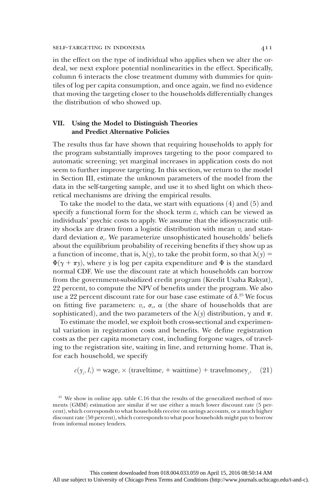in the effect on the type of individual who applies when we alter the ordeal, we next explore potential nonlinearities in the effect. Specifically, column 6 interacts the close treatment dummy with dummies for quintiles of log per capita consumption, and once again, we find no evidence that moving the targeting closer to the households differentially changes the distribution of who showed up.

# VII. Using the Model to Distinguish Theories and Predict Alternative Policies

The results thus far have shown that requiring households to apply for the program substantially improves targeting to the poor compared to automatic screening; yet marginal increases in application costs do not seem to further improve targeting. In this section, we return to the model in Section III, estimate the unknown parameters of the model from the data in the self-targeting sample, and use it to shed light on which theoretical mechanisms are driving the empirical results.

To take the model to the data, we start with equations  $(4)$  and  $(5)$  and specify a functional form for the shock term  $\varepsilon$ , which can be viewed as individuals' psychic costs to apply. We assume that the idiosyncratic utility shocks are drawn from a logistic distribution with mean  $v_{\varepsilon}$  and standard deviation  $\sigma_{\varepsilon}$ . We parameterize unsophisticated households' beliefs about the equilibrium probability of receiving benefits if they show up as a function of income, that is,  $\lambda(y)$ , to take the probit form, so that  $\lambda(y) =$  $\Phi(\gamma + \pi y)$ , where y is log per capita expenditure and  $\Phi$  is the standard normal CDF. We use the discount rate at which households can borrow from the government-subsidized credit program (Kredit Usaha Rakyat), 22 percent, to compute the NPV of benefits under the program. We also use a 22 percent discount rate for our base case estimate of  $\delta$ .<sup>25</sup> We focus on fitting five parameters:  $v_{\varepsilon}$ ,  $\sigma_{\varepsilon}$ ,  $\alpha$  (the share of households that are sophisticated), and the two parameters of the  $\lambda(y)$  distribution,  $\gamma$  and  $\pi$ .

To estimate the model, we exploit both cross-sectional and experimental variation in registration costs and benefits. We define registration costs as the per capita monetary cost, including forgone wages, of traveling to the registration site, waiting in line, and returning home. That is, for each household, we specify

$$
c(y_i, l_i) = \text{wage}_i \times (\text{traveltime}_i + \text{waittime}) + \text{travelmoney}_i, \quad (21)
$$

<sup>&</sup>lt;sup>25</sup> We show in online app. table C.16 that the results of the generalized method of moments (GMM) estimation are similar if we use either a much lower discount rate (5 percent), which corresponds to what households receive on savings accounts, or a much higher discount rate (50 percent), which corresponds to what poor households might pay to borrow from informal money lenders.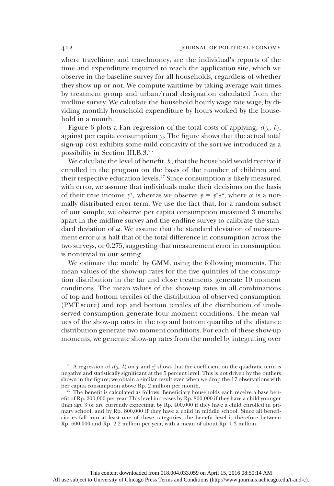where traveltime<sub>i</sub> and travelmoney<sub>i</sub> are the individual's reports of the time and expenditure required to reach the application site, which we observe in the baseline survey for all households, regardless of whether they show up or not. We compute waittime by taking average wait times by treatment group and urban/rural designation calculated from the midline survey. We calculate the household hourly wage rate wage, by dividing monthly household expenditure by hours worked by the household in a month.

Figure 6 plots a Fan regression of the total costs of applying,  $c(y_i, l_i)$ , against per capita consumption  $y_i$ . The figure shows that the actual total sign-up cost exhibits some mild concavity of the sort we introduced as a possibility in Section III.B.3.26

We calculate the level of benefit,  $b<sub>i</sub>$ , that the household would receive if enrolled in the program on the basis of the number of children and their respective education levels.<sup>27</sup> Since consumption is likely measured with error, we assume that individuals make their decisions on the basis of their true income y<sup>\*</sup>, whereas we observe  $y = y^*e^{\omega}$ , where  $\omega$  is a normally distributed error term. We use the fact that, for a random subset of our sample, we observe per capita consumption measured 3 months apart in the midline survey and the endline survey to calibrate the standard deviation of  $\omega$ . We assume that the standard deviation of measurement error  $\omega$  is half that of the total difference in consumption across the two surveys, or 0.275, suggesting that measurement error in consumption is nontrivial in our setting.

We estimate the model by GMM, using the following moments. The mean values of the show-up rates for the five quintiles of the consumption distribution in the far and close treatments generate 10 moment conditions. The mean values of the show-up rates in all combinations of top and bottom terciles of the distribution of observed consumption (PMT score) and top and bottom terciles of the distribution of unobserved consumption generate four moment conditions. The mean values of the show-up rates in the top and bottom quartiles of the distance distribution generate two moment conditions. For each of these show-up moments, we generate show-up rates from the model by integrating over

<sup>&</sup>lt;sup>26</sup> A regression of  $c(y_i, l_i)$  on  $y_i$  and  $y_i^2$  shows that the coefficient on the quadratic term is<br>coative and statistically significant at the 5 percent level. This is not driven by the outliers negative and statistically significant at the 5 percent level. This is not driven by the outliers shown in the figure; we obtain a similar result even when we drop the 17 observations with per capita consumption above Rp. 2 million per month.

 $27$  The benefit is calculated as follows. Beneficiary households each receive a base benefit of Rp. 200,000 per year. This level increases by Rp. 800,000 if they have a child younger than age 3 or are currently expecting, by Rp. 400,000 if they have a child enrolled in primary school, and by Rp. 800,000 if they have a child in middle school. Since all beneficiaries fall into at least one of these categories, the benefit level is therefore between Rp. 600,000 and Rp. 2.2 million per year, with a mean of about Rp. 1.3 million.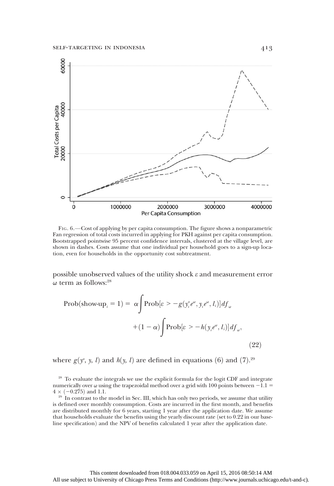

FIG. 6.—Cost of applying by per capita consumption. The figure shows a nonparametric Fan regression of total costs incurred in applying for PKH against per capita consumption. Bootstrapped pointwise 95 percent confidence intervals, clustered at the village level, are shown in dashes. Costs assume that one individual per household goes to a sign-up location, even for households in the opportunity cost subtreatment.

possible unobserved values of the utility shock ε and measurement error  $\omega$  term as follows:<sup>28</sup>

$$
\text{Prob}(\text{show-up}_i = 1) = \alpha \int \text{Prob}[\varepsilon > -g(y_i^{\circ}e^{\omega}, y_i e^{\omega}, l_i)] df_{\omega}
$$

$$
+ (1 - \alpha) \int \text{Prob}[\varepsilon > -h(y_i e^{\omega}, l_i)] df_{\omega}, \tag{22}
$$

where  $g(y^e, y, l)$  and  $h(y, l)$  are defined in equations (6) and (7).<sup>29</sup>

<sup>28</sup> To evaluate the integrals we use the explicit formula for the logit CDF and integrate numerically over  $\omega$  using the trapezoidal method over a grid with 100 points between  $-1.1 = 4 \times (-0.275)$  and 1.1.

<sup>29</sup> In contrast to the model in Sec. III, which has only two periods, we assume that utility is defined over monthly consumption. Costs are incurred in the first month, and benefits are distributed monthly for 6 years, starting 1 year after the application date. We assume that households evaluate the benefits using the yearly discount rate (set to 0.22 in our baseline specification) and the NPV of benefits calculated 1 year after the application date.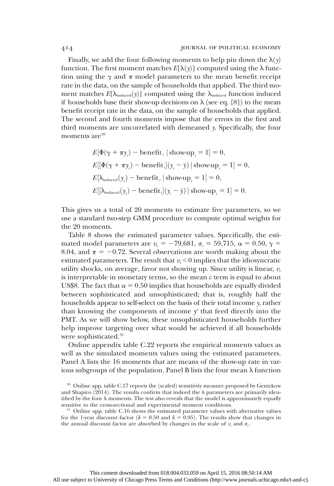Finally, we add the four following moments to help pin down the  $\lambda(y)$ function. The first moment matches  $E[\lambda(y)]$  computed using the  $\lambda$  function using the  $\gamma$  and  $\pi$  model parameters to the mean benefit receipt rate in the data, on the sample of households that applied. The third moment matches  $E[\lambda_{induced}(y)]$  computed using the  $\lambda_{induced}$  function induced if households base their show-up decisions on  $\lambda$  (see eq. [8]) to the mean benefit receipt rate in the data, on the sample of households that applied. The second and fourth moments impose that the errors in the first and third moments are uncorrelated with demeaned y. Specifically, the four moments are<sup>30</sup>

$$
E[\Phi(\gamma + \pi y_i) - \text{beneft}_{i} | \text{show-up}_{i} = 1] = 0,
$$
  
\n
$$
E[(\Phi(\gamma + \pi y_i) - \text{beneft}_{i}] (y_i - \bar{y}) | \text{show-up}_{i} = 1] = 0,
$$
  
\n
$$
E[\lambda_{\text{induced}}(y_i) - \text{beneft}_{i} | \text{show-up}_{i} = 1] = 0,
$$
  
\n
$$
E[(\lambda_{\text{induced}}(y_i) - \text{beneft}_{i}] (y_i - \bar{y}) | \text{show-up}_{i} = 1] = 0.
$$

This gives us a total of 20 moments to estimate five parameters, so we use a standard two-step GMM procedure to compute optimal weights for the 20 moments.

Table 8 shows the estimated parameter values. Specifically, the estimated model parameters are  $v_{\varepsilon} = -79,681, \sigma_{\varepsilon} = 59,715, \alpha = 0.50, \gamma =$ 8.04, and  $\pi = -0.72$ . Several observations are worth making about the estimated parameters. The result that  $v_{\varepsilon}$  < 0 implies that the idiosyncratic utility shocks, on average, favor not showing up. Since utility is linear,  $v_{\varepsilon}$ is interpretable in monetary terms, so the mean  $\varepsilon$  term is equal to about US\$8. The fact that  $\alpha = 0.50$  implies that households are equally divided between sophisticated and unsophisticated; that is, roughly half the households appear to self-select on the basis of their total income y, rather than knowing the components of income  $y^{\circ}$  that feed directly into the PMT. As we will show below, these unsophisticated households further help improve targeting over what would be achieved if all households were sophisticated.<sup>31</sup>

Online appendix table C.22 reports the empirical moments values as well as the simulated moments values using the estimated parameters. Panel A lists the 16 moments that are means of the show-up rate in various subgroups of the population. Panel B lists the four mean  $\lambda$  function

 $30$  Online app. table C.17 reports the (scaled) sensitivity measure proposed by Gentzkow and Shapiro  $(2014)$ . The results confirm that indeed the  $\lambda$  parameters are primarily identified by the four  $\lambda$  moments. The test also reveals that the model is approximately equally sensitive to the cross-sectional and experimental moment conditions.

<sup>&</sup>lt;sup>31</sup> Online app. table C.16 shows the estimated parameter values with alternative values for the 1-year discount factor ( $\delta = 0.50$  and  $\delta = 0.95$ ). The results show that changes in the annual discount factor are absorbed by changes in the scale of  $v_{\varepsilon}$  and  $\sigma_{\varepsilon}$ .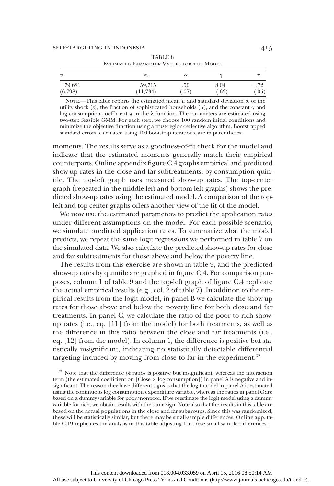| $v_{\varepsilon}$<br>$\sim$<br>$\alpha$<br>$\sigma_{\scriptscriptstyle{E}}$ |        |
|-----------------------------------------------------------------------------|--------|
|                                                                             |        |
| $-79,681$<br>59,715<br>8.04<br>.50                                          | $-.72$ |
| (6,798)<br>(11, 734)<br>.07)<br>.63)                                        | (05)   |

TABLE 8 Estimated Parameter Values for the Model

NOTE.—This table reports the estimated mean  $v_{\varepsilon}$  and standard deviation  $\sigma_{\varepsilon}$  of the utility shock  $(\varepsilon)$ , the fraction of sophisticated households  $(\alpha)$ , and the constant  $\gamma$  and log consumption coefficient  $\pi$  in the  $\lambda$  function. The parameters are estimated using two-step feasible GMM. For each step, we choose 100 random initial conditions and minimize the objective function using a trust-region-reflective algorithm. Bootstrapped standard errors, calculated using 100 bootstrap iterations, are in parentheses.

moments. The results serve as a goodness-of-fit check for the model and indicate that the estimated moments generally match their empirical counterparts. Online appendix figure C.4 graphs empirical and predicted show-up rates in the close and far subtreatments, by consumption quintile. The top-left graph uses measured show-up rates. The top-center graph (repeated in the middle-left and bottom-left graphs) shows the predicted show-up rates using the estimated model. A comparison of the topleft and top-center graphs offers another view of the fit of the model.

We now use the estimated parameters to predict the application rates under different assumptions on the model. For each possible scenario, we simulate predicted application rates. To summarize what the model predicts, we repeat the same logit regressions we performed in table 7 on the simulated data. We also calculate the predicted show-up rates for close and far subtreatments for those above and below the poverty line.

The results from this exercise are shown in table 9, and the predicted show-up rates by quintile are graphed in figure C.4. For comparison purposes, column 1 of table 9 and the top-left graph of figure C.4 replicate the actual empirical results (e.g., col. 2 of table 7). In addition to the empirical results from the logit model, in panel B we calculate the show-up rates for those above and below the poverty line for both close and far treatments. In panel C, we calculate the ratio of the poor to rich showup rates (i.e., eq.  $[11]$  from the model) for both treatments, as well as the difference in this ratio between the close and far treatments (i.e., eq.  $[12]$  from the model). In column 1, the difference is positive but statistically insignificant, indicating no statistically detectable differential targeting induced by moving from close to far in the experiment. $32$ 

<sup>&</sup>lt;sup>32</sup> Note that the difference of ratios is positive but insignificant, whereas the interaction term (the estimated coefficient on [Close  $\times$  log consumption]) in panel A is negative and interm (the estimated coefficient on [Close × log consumption]) in panel A is negative and in-<br>significant. The reason they have different signs is that the logit model in panel A is estimated using the continuous log consumption expenditure variable, whereas the ratios in panel C are based on a dummy variable for poor/nonpoor. If we reestimate the logit model using a dummy variable for rich, we obtain results with the same sign. Note also that the results in this table are based on the actual populations in the close and far subgroups. Since this was randomized, these will be statistically similar, but there may be small-sample differences. Online app. table C.19 replicates the analysis in this table adjusting for these small-sample differences.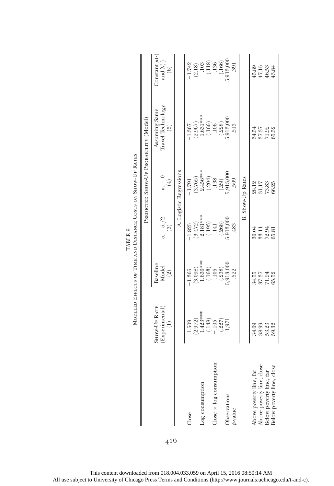|                                |                                                              | MODELED EFFECTS OF TIME AND DISTANCE COSTS ON SHOW-UP RATES |                                                                                                               |                                                   |                                                       |                                                                 |
|--------------------------------|--------------------------------------------------------------|-------------------------------------------------------------|---------------------------------------------------------------------------------------------------------------|---------------------------------------------------|-------------------------------------------------------|-----------------------------------------------------------------|
|                                |                                                              |                                                             |                                                                                                               | PREDICTED SHOW-UP PROBABILITY (Model)             |                                                       |                                                                 |
|                                | SHOW-UP RATE<br>Experimental<br>$\left( \frac{1}{2} \right)$ | Baseline<br>Model<br>$\circled{2}$                          | $\sigma_{\scriptscriptstyle \mathcal{E}} = \hat{\sigma}_{\scriptscriptstyle \mathcal{E}}/2$<br>$\binom{3}{2}$ | $\sigma_{\varepsilon}=0$<br>$\tag{4}$             | Travel Technology<br>Assuming Same<br>$\widetilde{5}$ | Constant $\mu(\cdot)$<br>and $\lambda(\cdot)$<br>$\odot$        |
|                                |                                                              |                                                             |                                                                                                               | A. Logistic Regressions                           |                                                       |                                                                 |
| Close                          | 1.509                                                        | $-1.365$                                                    | $-1.825$                                                                                                      | $-1.791$                                          | $-1.367$                                              | $-1.742$                                                        |
|                                | $(2.972)$<br>-1.423****                                      | (3.098)                                                     | $(3.472)$<br>-2.181***                                                                                        | (3.765)                                           | $(2.967)$<br>-1.631***                                | $\begin{array}{c} (2.18) \\ -103 \\ (.118) \\ .136 \end{array}$ |
| Log consumption                |                                                              | $1.630***$                                                  |                                                                                                               | $-2.456***$                                       |                                                       |                                                                 |
|                                | $(-148)$<br>-.105                                            | $(.163)$<br>$.105$                                          | $(193)$<br>$(141)$                                                                                            | $(204)$<br>.138                                   | $(166)$<br>$106$                                      |                                                                 |
| Close $\times$ log consumption |                                                              |                                                             |                                                                                                               |                                                   |                                                       |                                                                 |
|                                | $(0.227)$<br>1,971                                           |                                                             | (.268)                                                                                                        |                                                   |                                                       | (.166)                                                          |
| Observations                   |                                                              | $\begin{array}{c} (.238) \\ 5,913,000 \end{array}$          | 5,913,000                                                                                                     | $\begin{array}{c} (.29) \\ 5,913,000 \end{array}$ | $(0.228)$<br>5,913,000                                | 5,913,000                                                       |
| p-value                        |                                                              | 522                                                         | 483                                                                                                           | 509                                               | 513                                                   | 391                                                             |
|                                |                                                              |                                                             |                                                                                                               | B. Show-Up Rates                                  |                                                       |                                                                 |
| Above poverty line, far        | 34.09                                                        | 34.55                                                       | 30.04                                                                                                         |                                                   | 34.54                                                 | 45.89                                                           |
| Above poverty line, close      | 38.99                                                        | 37.37                                                       |                                                                                                               | 28.12<br>31.17                                    |                                                       | 47.15                                                           |
| Below poverty line, far        | 53.23                                                        | 71.94                                                       | 33.11<br>72.94                                                                                                | 73.83                                             | 37.37<br>71.92<br>65.52                               | 46.53                                                           |
| Below poverty line, close      | 59.32                                                        | 65.52                                                       | 65.81                                                                                                         | 66.25                                             |                                                       | 43.84                                                           |
|                                |                                                              |                                                             |                                                                                                               |                                                   |                                                       |                                                                 |

|         | <b>SON SHOW-L</b>                  |
|---------|------------------------------------|
| TABLE 9 | EFFECTS OF TIME AND DISTANCE COSTS |
|         | ELED 1                             |

416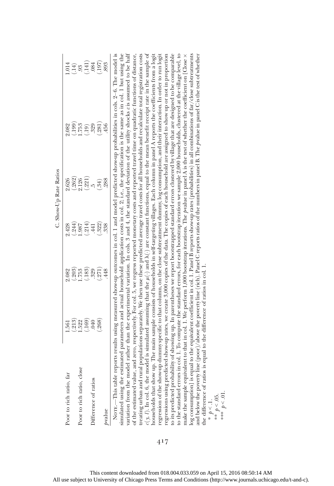|                                                                                                                                                                                                                                                                                                                                                                                                                                                                                                                                                                                                                                                                                                                                                                                                                                                                                                                                                                                                                                                                                                                                                                                                                                                                                                                                                                                                                                                                                                                                                                                                                                                                                                                                                                                                                                                                  |                                              |                 |                                  | C. Show-Up Rate Ratios     |                            |                                                   |
|------------------------------------------------------------------------------------------------------------------------------------------------------------------------------------------------------------------------------------------------------------------------------------------------------------------------------------------------------------------------------------------------------------------------------------------------------------------------------------------------------------------------------------------------------------------------------------------------------------------------------------------------------------------------------------------------------------------------------------------------------------------------------------------------------------------------------------------------------------------------------------------------------------------------------------------------------------------------------------------------------------------------------------------------------------------------------------------------------------------------------------------------------------------------------------------------------------------------------------------------------------------------------------------------------------------------------------------------------------------------------------------------------------------------------------------------------------------------------------------------------------------------------------------------------------------------------------------------------------------------------------------------------------------------------------------------------------------------------------------------------------------------------------------------------------------------------------------------------------------|----------------------------------------------|-----------------|----------------------------------|----------------------------|----------------------------|---------------------------------------------------|
| Poor to rich ratio, far                                                                                                                                                                                                                                                                                                                                                                                                                                                                                                                                                                                                                                                                                                                                                                                                                                                                                                                                                                                                                                                                                                                                                                                                                                                                                                                                                                                                                                                                                                                                                                                                                                                                                                                                                                                                                                          | (.213)<br>1.561                              | (.203)<br>2.082 | 2.428                            | 2.626                      | 2.082                      | 1.014                                             |
| Poor to rich ratio, close                                                                                                                                                                                                                                                                                                                                                                                                                                                                                                                                                                                                                                                                                                                                                                                                                                                                                                                                                                                                                                                                                                                                                                                                                                                                                                                                                                                                                                                                                                                                                                                                                                                                                                                                                                                                                                        | (.169)<br>1.522                              | (.183)<br>1.753 | $\frac{(.244)}{1.987}$<br>(.214) | $\binom{.262}{2.126}$      | $(0.199)$<br>1.753<br>(19) | $\begin{smallmatrix} 14 \\ -93 \end{smallmatrix}$ |
| Difference of ratios                                                                                                                                                                                                                                                                                                                                                                                                                                                                                                                                                                                                                                                                                                                                                                                                                                                                                                                                                                                                                                                                                                                                                                                                                                                                                                                                                                                                                                                                                                                                                                                                                                                                                                                                                                                                                                             | .268)<br>040                                 | (271)<br>.329   | (.322)<br>.441                   | $(.221)$ بة<br>$\cdot$ 34) | (.281)<br>.329             | (197)<br>(0.141)                                  |
| pvalue                                                                                                                                                                                                                                                                                                                                                                                                                                                                                                                                                                                                                                                                                                                                                                                                                                                                                                                                                                                                                                                                                                                                                                                                                                                                                                                                                                                                                                                                                                                                                                                                                                                                                                                                                                                                                                                           |                                              | 448             | 338                              | 288                        | 456                        | 893                                               |
| variation from the model rather than the experimental variation. In cols. 3 and 4, the standard deviation of the utility shocks <i>i</i> s assumed to be half<br>simulated using the estimated parameters and actual household application costs in col. 2; i.e., the specification is the same as in col. 1 but using the<br>of the estimated value, and zero, respectively. For col. 5, we regress reported monetary costs and reported travel time on quadratic functions of distance,<br>treating urban and rural populations separately. We then use these predicted average travel costs for all households and recalculate total registration costs $\epsilon(y, t)$ . In col. 6, the model is simulated assuming that the<br>regressions using predicted show-up rates, we create 3,000 copies on the trans. In the topics on a call a non-working that are designed to be comparable to its predicted probability of showing up. In parentheses we report<br>log consumption] is equal to the equivalent coefficient in col. I. Panel B reports show-up rates (probabilities) in all combinations of far/close subtreatments<br>Norr.—This table reports results using measured show-up outcomes in col. 1 and model predicted show-up probabilities in cols. 2-6. The model is<br>regression of the show-up dummy specific to that column, on the close subtreatment dummy, log consumption, and their interaction. In order to run logit<br>and below the poverty line (poor)/above the poverty line (rich). Panel C reports ratios of the numbers in panel B. The Avalue in panel C is the test of whether<br>make the sample equivalent to that in col. 1. We perform 1,000 bootstrap iterations. The <i>p</i> -value in panel A is the test of whether the coefficient on [Close x<br>the difference of ratios is<br>** $p < .05$ .<br>* $p < 1$ . | equal to the difference of ratios in col. 1. |                 |                                  |                            |                            |                                                   |

\*\*\*  $p < 01$ . \*\*\*  $p < 01$ .

417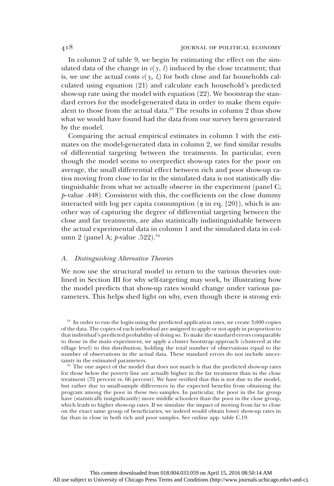In column 2 of table 9, we begin by estimating the effect on the simulated data of the change in  $c(y, l)$  induced by the close treatment; that is, we use the actual costs  $c(y_i, l_i)$  for both close and far households calculated using equation  $(21)$  and calculate each household's predicted show-up rate using the model with equation  $(22)$ . We bootstrap the standard errors for the model-generated data in order to make them equivalent to those from the actual data.<sup>33</sup> The results in column 2 thus show what we would have found had the data from our survey been generated by the model.

Comparing the actual empirical estimates in column 1 with the estimates on the model-generated data in column 2, we find similar results of differential targeting between the treatments. In particular, even though the model seems to overpredict show-up rates for the poor on average, the small differential effect between rich and poor show-up ratios moving from close to far in the simulated data is not statistically distinguishable from what we actually observe in the experiment (panel  $C$ ;  $p$ -value .448). Consistent with this, the coefficients on the close dummy interacted with log per capita consumption  $(\eta$  in eq. [20]), which is another way of capturing the degree of differential targeting between the close and far treatments, are also statistically indistinguishable between the actual experimental data in column 1 and the simulated data in column 2 (panel A;  $p$ -value .522).<sup>34</sup>

### A. Distinguishing Alternative Theories

We now use the structural model to return to the various theories outlined in Section III for why self-targeting may work, by illustrating how the model predicts that show-up rates would change under various parameters. This helps shed light on why, even though there is strong evi-

<sup>33</sup> In order to run the logits using the predicted application rates, we create 3,000 copies of the data. The copies of each individual are assigned to apply or not apply in proportion to that individual's predicted probability of doing so. To make the standard errors comparable to those in the main experiment, we apply a cluster bootstrap approach (clustered at the village level) to this distribution, holding the total number of observations equal to the number of observations in the actual data. These standard errors do not include uncertainty in the estimated parameters.<br><sup>34</sup> The one aspect of the model that does not match is that the predicted show-up rates

for those below the poverty line are actually higher in the far treatment than in the close treatment (72 percent vs. 66 percent). We have verified that this is not due to the model, but rather due to small-sample differences in the expected benefits from obtaining the program among the poor in these two samples. In particular, the poor in the far group have (statistically insignificantly) more middle schoolers than the poor in the close group, which leads to higher show-up rates. If we simulate the impact of moving from far to close on the exact same group of beneficiaries, we indeed would obtain lower show-up rates in far than in close in both rich and poor samples. See online app. table C.19.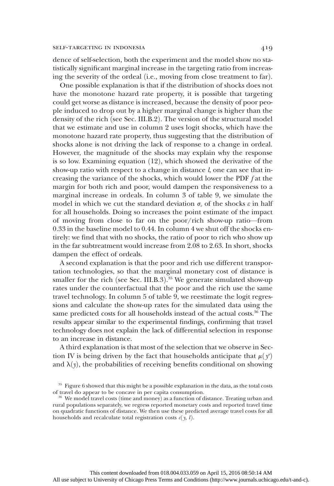dence of self-selection, both the experiment and the model show no statistically significant marginal increase in the targeting ratio from increasing the severity of the ordeal (i.e., moving from close treatment to far).

One possible explanation is that if the distribution of shocks does not have the monotone hazard rate property, it is possible that targeting could get worse as distance is increased, because the density of poor people induced to drop out by a higher marginal change is higher than the density of the rich (see Sec. III.B.2). The version of the structural model that we estimate and use in column 2 uses logit shocks, which have the monotone hazard rate property, thus suggesting that the distribution of shocks alone is not driving the lack of response to a change in ordeal. However, the magnitude of the shocks may explain why the response is so low. Examining equation  $(12)$ , which showed the derivative of the show-up ratio with respect to a change in distance  $l$ , one can see that increasing the variance of the shocks, which would lower the PDF  $f$  at the margin for both rich and poor, would dampen the responsiveness to a marginal increase in ordeals. In column 3 of table 9, we simulate the model in which we cut the standard deviation  $\sigma_{\varepsilon}$  of the shocks  $\varepsilon$  in half for all households. Doing so increases the point estimate of the impact of moving from close to far on the poor/rich show-up ratio—from 0.33 in the baseline model to 0.44. In column 4 we shut off the shocks entirely: we find that with no shocks, the ratio of poor to rich who show up in the far subtreatment would increase from 2.08 to 2.63. In short, shocks dampen the effect of ordeals.

A second explanation is that the poor and rich use different transportation technologies, so that the marginal monetary cost of distance is smaller for the rich (see Sec. III.B.3).<sup>35</sup> We generate simulated show-up rates under the counterfactual that the poor and the rich use the same rates under the counterfactual that the poor and the rich use the same travel technology. In column 5 of table 9, we reestimate the logit regressions and calculate the show-up rates for the simulated data using the same predicted costs for all households instead of the actual costs.<sup>36</sup> The results appear similar to the experimental findings, confirming that travel technology does not explain the lack of differential selection in response to an increase in distance.

A third explanation is that most of the selection that we observe in Section IV is being driven by the fact that households anticipate that  $\mu(y^{\circ})$ and  $\lambda(y)$ , the probabilities of receiving benefits conditional on showing

<sup>&</sup>lt;sup>35</sup> Figure 6 showed that this might be a possible explanation in the data, as the total costs of travel do appear to be concave in per capita consumption.

<sup>&</sup>lt;sup>36</sup> We model travel costs (time and money) as a function of distance. Treating urban and rural populations separately, we regress reported monetary costs and reported travel time on quadratic functions of distance. We then use these predicted average travel costs for all households and recalculate total registration costs  $c(y, l)$ .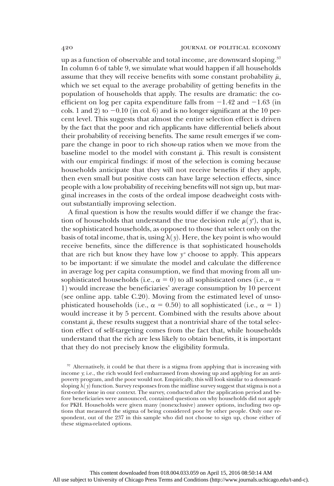up as a function of observable and total income, are downward sloping.<sup>37</sup> In column 6 of table 9, we simulate what would happen if all households assume that they will receive benefits with some constant probability  $\bar{\mu}$ , which we set equal to the average probability of getting benefits in the population of households that apply. The results are dramatic: the coefficient on log per capita expenditure falls from  $-1.42$  and  $-1.63$  (in cols. 1 and 2) to  $-0.10$  (in col. 6) and is no longer significant at the 10 percent level. This suggests that almost the entire selection effect is driven by the fact that the poor and rich applicants have differential beliefs about their probability of receiving benefits. The same result emerges if we compare the change in poor to rich show-up ratios when we move from the baseline model to the model with constant  $\bar{\mu}$ . This result is consistent with our empirical findings: if most of the selection is coming because households anticipate that they will not receive benefits if they apply, then even small but positive costs can have large selection effects, since people with a low probability of receiving benefits will not sign up, but marginal increases in the costs of the ordeal impose deadweight costs without substantially improving selection.

A final question is how the results would differ if we change the fraction of households that understand the true decision rule  $\mu(y^{\circ})$ , that is, the sophisticated households as opposed to those that select only on the the sophisticated households, as opposed to those that select only on the basis of total income, that is, using  $\lambda(y)$ . Here, the key point is who would receive benefits, since the difference is that sophisticated households that are rich but know they have low  $y^{\circ}$  choose to apply. This appears to be important: if we simulate the model and calculate the difference in average log per capita consumption, we find that moving from all unsophisticated households (i.e.,  $\alpha = 0$ ) to all sophisticated ones (i.e.,  $\alpha =$ 1) would increase the beneficiaries' average consumption by 10 percent (see online app. table  $C.20$ ). Moving from the estimated level of unsophisticated households (i.e.,  $\alpha = 0.50$ ) to all sophisticated (i.e.,  $\alpha = 1$ ) would increase it by 5 percent. Combined with the results above about constant  $\bar{\mu}$ , these results suggest that a nontrivial share of the total selection effect of self-targeting comes from the fact that, while households understand that the rich are less likely to obtain benefits, it is important that they do not precisely know the eligibility formula.

<sup>&</sup>lt;sup>37</sup> Alternatively, it could be that there is a stigma from applying that is increasing with income y; i.e., the rich would feel embarrassed from showing up and applying for an antipoverty program, and the poor would not. Empirically, this will look similar to a downwardsloping  $\lambda(y)$  function. Survey responses from the midline survey suggest that stigma is not a first-order issue in our context. The survey, conducted after the application period and before beneficiaries were announced, contained questions on why households did not apply for PKH. Households were given many (nonexclusive) answer options, including two options that measured the stigma of being considered poor by other people. Only one respondent, out of the 237 in this sample who did not choose to sign up, chose either of these stigma-related options.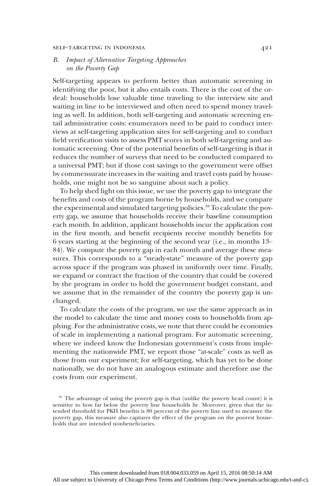### self-targeting in indonesia 421

# B. Impact of Alternative Targeting Approaches on the Poverty Gap

Self-targeting appears to perform better than automatic screening in identifying the poor, but it also entails costs. There is the cost of the ordeal: households lose valuable time traveling to the interview site and waiting in line to be interviewed and often need to spend money traveling as well. In addition, both self-targeting and automatic screening entail administrative costs: enumerators need to be paid to conduct interviews at self-targeting application sites for self-targeting and to conduct field verification visits to assess PMT scores in both self-targeting and automatic screening. One of the potential benefits of self-targeting is that it reduces the number of surveys that need to be conducted compared to a universal PMT; but if those cost savings to the government were offset by commensurate increases in the waiting and travel costs paid by households, one might not be so sanguine about such a policy.

To help shed light on this issue, we use the poverty gap to integrate the benefits and costs of the program borne by households, and we compare the experimental and simulated targeting policies.<sup>38</sup> To calculate the poverty gap, we assume that households receive their baseline consumption each month. In addition, applicant households incur the application cost in the first month, and benefit recipients receive monthly benefits for 6 years starting at the beginning of the second year (i.e., in months 13– 84). We compute the poverty gap in each month and average these measures. This corresponds to a "steady-state" measure of the poverty gap across space if the program was phased in uniformly over time. Finally, we expand or contract the fraction of the country that could be covered by the program in order to hold the government budget constant, and we assume that in the remainder of the country the poverty gap is unchanged.

To calculate the costs of the program, we use the same approach as in the model to calculate the time and money costs to households from applying. For the administrative costs, we note that there could be economies of scale in implementing a national program. For automatic screening, where we indeed know the Indonesian government's costs from implementing the nationwide PMT, we report those "at-scale" costs as well as those from our experiment; for self-targeting, which has yet to be done nationally, we do not have an analogous estimate and therefore use the costs from our experiment.

 $38$  The advantage of using the poverty gap is that (unlike the poverty head count) it is sensitive to how far below the poverty line households lie. Moreover, given that the intended threshold for PKH benefits is 80 percent of the poverty line used to measure the poverty gap, this measure also captures the effect of the program on the poorest households that are intended nonbeneficiaries.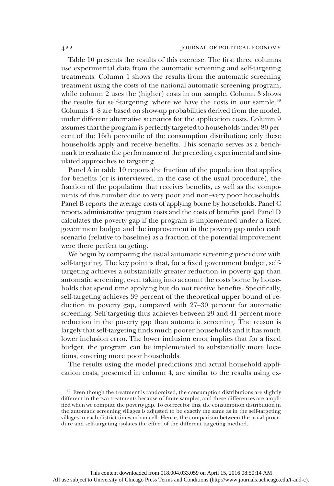Table 10 presents the results of this exercise. The first three columns use experimental data from the automatic screening and self-targeting treatments. Column 1 shows the results from the automatic screening treatment using the costs of the national automatic screening program, while column 2 uses the (higher) costs in our sample. Column 3 shows the results for self-targeting, where we have the costs in our sample.<sup>39</sup> Columns 4–8 are based on show-up probabilities derived from the model, under different alternative scenarios for the application costs. Column 9 assumes that the program is perfectly targeted to households under 80 percent of the 16th percentile of the consumption distribution; only these households apply and receive benefits. This scenario serves as a benchmark to evaluate the performance of the preceding experimental and simulated approaches to targeting.

Panel A in table 10 reports the fraction of the population that applies for benefits (or is interviewed, in the case of the usual procedure), the fraction of the population that receives benefits, as well as the components of this number due to very poor and non–very poor households. Panel B reports the average costs of applying borne by households. Panel C reports administrative program costs and the costs of benefits paid. Panel D calculates the poverty gap if the program is implemented under a fixed government budget and the improvement in the poverty gap under each scenario (relative to baseline) as a fraction of the potential improvement were there perfect targeting.

We begin by comparing the usual automatic screening procedure with self-targeting. The key point is that, for a fixed government budget, selftargeting achieves a substantially greater reduction in poverty gap than automatic screening, even taking into account the costs borne by households that spend time applying but do not receive benefits. Specifically, self-targeting achieves 39 percent of the theoretical upper bound of reduction in poverty gap, compared with 27–30 percent for automatic screening. Self-targeting thus achieves between 29 and 41 percent more reduction in the poverty gap than automatic screening. The reason is largely that self-targeting finds much poorer households and it has much lower inclusion error. The lower inclusion error implies that for a fixed budget, the program can be implemented to substantially more locations, covering more poor households.

The results using the model predictions and actual household application costs, presented in column 4, are similar to the results using ex-

<sup>&</sup>lt;sup>39</sup> Even though the treatment is randomized, the consumption distributions are slightly different in the two treatments because of finite samples, and these differences are amplified when we compute the poverty gap. To correct for this, the consumption distribution in the automatic screening villages is adjusted to be exactly the same as in the self-targeting villages in each district times urban cell. Hence, the comparison between the usual procedure and self-targeting isolates the effect of the different targeting method.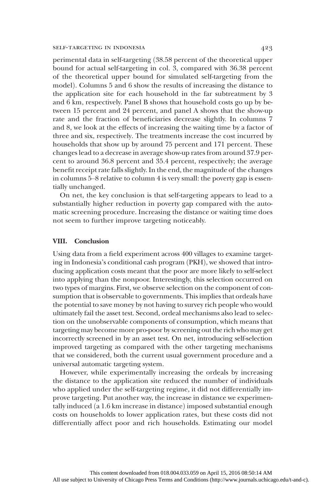### self-targeting in indonesia 423

perimental data in self-targeting (38.58 percent of the theoretical upper bound for actual self-targeting in col. 3, compared with 36.38 percent of the theoretical upper bound for simulated self-targeting from the model). Columns 5 and 6 show the results of increasing the distance to the application site for each household in the far subtreatment by 3 and 6 km, respectively. Panel B shows that household costs go up by between 15 percent and 24 percent, and panel A shows that the show-up rate and the fraction of beneficiaries decrease slightly. In columns 7 and 8, we look at the effects of increasing the waiting time by a factor of three and six, respectively. The treatments increase the cost incurred by households that show up by around 75 percent and 171 percent. These changes lead to a decrease in average show-up rates from around 37.9 percent to around 36.8 percent and 35.4 percent, respectively; the average benefit receipt rate falls slightly. In the end, the magnitude of the changes in columns 5–8 relative to column 4 is very small: the poverty gap is essentially unchanged.

On net, the key conclusion is that self-targeting appears to lead to a substantially higher reduction in poverty gap compared with the automatic screening procedure. Increasing the distance or waiting time does not seem to further improve targeting noticeably.

## VIII. Conclusion

Using data from a field experiment across 400 villages to examine targeting in Indonesia's conditional cash program (PKH), we showed that introducing application costs meant that the poor are more likely to self-select into applying than the nonpoor. Interestingly, this selection occurred on two types of margins. First, we observe selection on the component of consumption that is observable to governments. This implies that ordeals have the potential to save money by not having to survey rich people who would ultimately fail the asset test. Second, ordeal mechanisms also lead to selection on the unobservable components of consumption, which means that targeting may become more pro-poor by screening out the rich who may get incorrectly screened in by an asset test. On net, introducing self-selection improved targeting as compared with the other targeting mechanisms that we considered, both the current usual government procedure and a universal automatic targeting system.

However, while experimentally increasing the ordeals by increasing the distance to the application site reduced the number of individuals who applied under the self-targeting regime, it did not differentially improve targeting. Put another way, the increase in distance we experimentally induced (a 1.6 km increase in distance) imposed substantial enough costs on households to lower application rates, but these costs did not differentially affect poor and rich households. Estimating our model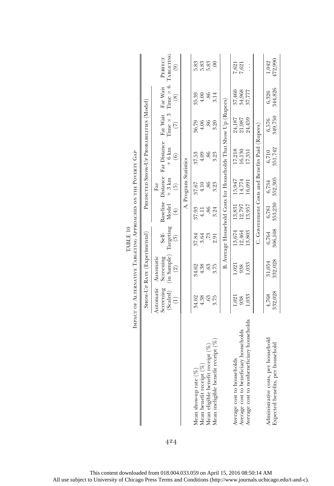| Average cost to beneficiary households<br>Mean ineligible benefit receipt $(\%)$<br>Mean eligible benefit receipt $(\%)$<br>Average cost to households<br>Mean benefit receipt $(\%)$<br>Mean show-up rate $(\%)$ | Automatic<br>Screening<br>(Scaled)<br>1,021<br>4.38<br>.63<br>34.62<br>3.75<br>938<br>$\left( \frac{1}{2} \right)$ | IMPACT OF ALTERNATIVE TARGETING APPROACHES ON THE POVERTY GAP<br>SHOW-UP RATE (Experimental<br>(in Sample)<br>Automatic<br>Screening<br>1,021<br>4.38<br>3.75<br>34.62<br>.63<br>938<br>$\widehat{\mathfrak{D}}$ | Targeting<br>TABLE 10<br>13,674<br>12,464<br>Self-<br>3.64<br>37.84<br>.73<br>2.91<br>$\left( 3\right)$ | Model<br>12,797<br>13,831<br>3.24<br>37.93<br>86.<br>$\frac{11}{4}$<br>$(\pm)$ | A. Program Statistics<br>$+3 km$<br>15,947<br>14,774<br>86<br>3.23<br>37.67<br>4.10<br>Far<br>$\widetilde{5}$ | B. Average Household Costs for Households That Show Up (Rupees)<br>PREDICTED SHOW-UP PROBABILITIES (Model)<br>Baseline Distance Far Distance Far Wait<br>$+6km$<br>17,218<br>16,130<br>37.53<br>86<br>3.23<br>4.09<br>$\left( 6\right)$ | Time $\times$ 3<br>24,187<br>21,987<br>86<br>36.79<br>4.06<br>3.20<br>$\widehat{C}$ | Time $\times$ 6<br>Far Wait<br>34,968<br>37,460<br>86.<br>3.14<br>35.39<br>4.00<br>$\circledast$ | TARGETING<br>PERFECT<br>5.83<br>5.83<br>5.83<br>$\overline{0}$<br>7,621<br>7,621<br>$\left( \begin{matrix} 6 \end{matrix} \right)$ |
|-------------------------------------------------------------------------------------------------------------------------------------------------------------------------------------------------------------------|--------------------------------------------------------------------------------------------------------------------|------------------------------------------------------------------------------------------------------------------------------------------------------------------------------------------------------------------|---------------------------------------------------------------------------------------------------------|--------------------------------------------------------------------------------|---------------------------------------------------------------------------------------------------------------|-----------------------------------------------------------------------------------------------------------------------------------------------------------------------------------------------------------------------------------------|-------------------------------------------------------------------------------------|--------------------------------------------------------------------------------------------------|------------------------------------------------------------------------------------------------------------------------------------|
| Average cost to nonbeneficiary households                                                                                                                                                                         | 1,033                                                                                                              | 1,033                                                                                                                                                                                                            | 13,803                                                                                                  | 13,957                                                                         | 16,091                                                                                                        | C. Government Costs and Benefits Paid (Rupees)<br>17,351                                                                                                                                                                                | 24,459                                                                              | 37,777                                                                                           | $\vdots$                                                                                                                           |
| Administrative costs, per household<br>household<br>Expected benefits, per                                                                                                                                        | 332,028<br>4,768                                                                                                   | 332,028<br>31,054                                                                                                                                                                                                | 306,108<br>6,764                                                                                        | 353,230<br>6,781                                                               | 352,305<br>6,734                                                                                              | 351,742<br>6,710                                                                                                                                                                                                                        | 349,750<br>6,576                                                                    | 344,826<br>6,326                                                                                 | 472,990<br>1,042                                                                                                                   |

424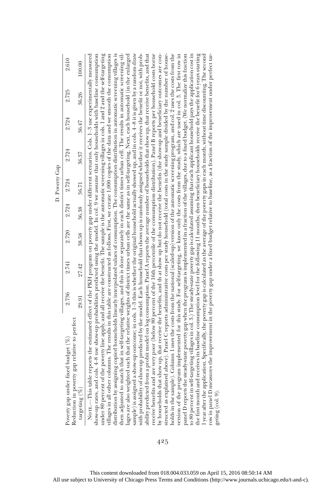| budget $(\%$<br>Poverty gap under fixed                                                                                                                                                                                                                                                                                                                                                                                                                                                                                                                                                                                                                                                                                                                                                                                                                                                                                                                                                                                                                                                                                                                                                                                                                                                                                                                                                                                                                                                                                                                                                                                                                                                                                                                                                                                                                                                                                                                                                                                                                                                                                                                                                                                                                                                                                                                                                                                                                                                                                                                                                                                                                                                                                                                                                                                                                                                                                                                                                                                           | 2.736 | 2.741 | 2.720 | 2.724 | 2.724 | 2.724 | 2.724 | 2.725 | 2.610  |
|-----------------------------------------------------------------------------------------------------------------------------------------------------------------------------------------------------------------------------------------------------------------------------------------------------------------------------------------------------------------------------------------------------------------------------------------------------------------------------------------------------------------------------------------------------------------------------------------------------------------------------------------------------------------------------------------------------------------------------------------------------------------------------------------------------------------------------------------------------------------------------------------------------------------------------------------------------------------------------------------------------------------------------------------------------------------------------------------------------------------------------------------------------------------------------------------------------------------------------------------------------------------------------------------------------------------------------------------------------------------------------------------------------------------------------------------------------------------------------------------------------------------------------------------------------------------------------------------------------------------------------------------------------------------------------------------------------------------------------------------------------------------------------------------------------------------------------------------------------------------------------------------------------------------------------------------------------------------------------------------------------------------------------------------------------------------------------------------------------------------------------------------------------------------------------------------------------------------------------------------------------------------------------------------------------------------------------------------------------------------------------------------------------------------------------------------------------------------------------------------------------------------------------------------------------------------------------------------------------------------------------------------------------------------------------------------------------------------------------------------------------------------------------------------------------------------------------------------------------------------------------------------------------------------------------------------------------------------------------------------------------------------------------------|-------|-------|-------|-------|-------|-------|-------|-------|--------|
| Reduction in poverty gap relative to perfect<br>targeting $(\%)$                                                                                                                                                                                                                                                                                                                                                                                                                                                                                                                                                                                                                                                                                                                                                                                                                                                                                                                                                                                                                                                                                                                                                                                                                                                                                                                                                                                                                                                                                                                                                                                                                                                                                                                                                                                                                                                                                                                                                                                                                                                                                                                                                                                                                                                                                                                                                                                                                                                                                                                                                                                                                                                                                                                                                                                                                                                                                                                                                                  | 29.91 | 27.42 | 38.58 | 36.38 | 36.71 | 36.37 | 36.47 | 36.26 | 100.00 |
| distribution by assigning copied households linearly interpolated values of consumption. The consumption distribution in automatic screening villages is<br>then adjusted to match that in self-targeting villages, and this is d<br>under 80 percent of the poverty line apply, and all receive the benefit. The sample is the automatic screening villages in cols. 1 and 2 and the self-targeting<br>villages in all other columns. The results in this table are c<br>by households that show up, that receive the benefits, and th at show up but do not receive the benefits (the show-up and beneficiary outcomes are con-<br>the first month and receives its baseline consumption level for the following 11 months; then beneficiary households receive the benefit for 6 years starting<br>row in panel D measures the improvement in the poverty gap under a fixed budget relative to baseline, as a fraction of the improvement under perfect tar-<br>receive benefits and are very poor (below 80 percent of the 16th percentile of the consumption distribution). Panel B reports per household costs borne<br>holds in the sample). Column 1 uses the costs from the national (scaled-up) version of the automatic screening program, and col. 2 uses the costs from the<br>4-8 use show-up probabilities predicted using the model. In col. 9 we assume that only households with baseline consumption<br>lages are also weighted such that the relative weights of district times urban cells are the same as in self-targeting, Next, each household (in the enlarged<br>sample) is assigned a show-up outcome; in cols. 1–3 this is whether the original household actually showed up, and in cols. 4–8 it is given by a random draw<br>with probability of show-up predicted by the model. Each househol<br>ability predicted from a probit model on log consumption. Panel A reports the average number of households that show up, that receive benefits, and that<br>structed as explained above). Panel C reports administrative costs per study household (total costs in the study sample divided by the number of house-<br>version of the program implemented for this study. For self-targeting, we know only the costs from the study, which are used in col. 3. The first row in<br>panel D reports the steady-state poverty gap when the program is implemented in a fraction of the villages, due to a fixed budget. (We normalize this fraction<br>to 80 percent in self-targeting villages in col. 3.) The steady-state poverty gap is calculated assuming that each applicant household pays the application cost in<br>NorE.-This table reports the estimated effect of the PKH program on poverty gap under different scenarios. Cols. 1-3 use experimentally measured<br>l year after the application. Specifically, the poverty gap is calculated as the average of the poverty gaps in each month, without time discounting. The second<br>show-up rates, and cols.<br>geting (col. 9). |       |       |       |       |       |       |       |       |        |

D. Poverty Gap D. Poverty Gap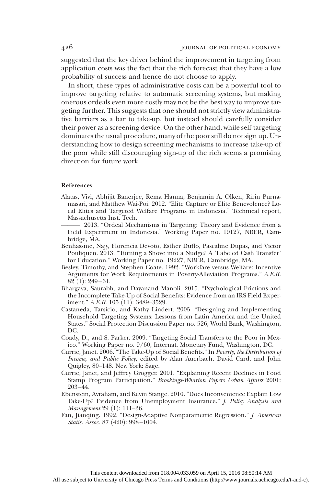suggested that the key driver behind the improvement in targeting from application costs was the fact that the rich forecast that they have a low probability of success and hence do not choose to apply.

In short, these types of administrative costs can be a powerful tool to improve targeting relative to automatic screening systems, but making onerous ordeals even more costly may not be the best way to improve targeting further. This suggests that one should not strictly view administrative barriers as a bar to take-up, but instead should carefully consider their power as a screening device. On the other hand, while self-targeting dominates the usual procedure, many of the poor still do not sign up. Understanding how to design screening mechanisms to increase take-up of the poor while still discouraging sign-up of the rich seems a promising direction for future work.

### References

- Alatas, Vivi, Abhijit Banerjee, Rema Hanna, Benjamin A. Olken, Ririn Purnamasari, and Matthew Wai-Poi. 2012. "Elite Capture or Elite Benevolence? Local Elites and Targeted Welfare Programs in Indonesia." Technical report, Massachusetts Inst. Tech.
- -. 2013. "Ordeal Mechanisms in Targeting: Theory and Evidence from a Field Experiment in Indonesia." Working Paper no. 19127, NBER, Cambridge, MA.
- Benhassine, Najy, Florencia Devoto, Esther Duflo, Pascaline Dupas, and Victor Pouliquen. 2013. "Turning a Shove into a Nudge? A 'Labeled Cash Transfer' for Education." Working Paper no. 19227, NBER, Cambridge, MA.
- Besley, Timothy, and Stephen Coate. 1992. "Workfare versus Welfare: Incentive Arguments for Work Requirements in Poverty-Alleviation Programs." A.E.R.  $82$  (1): 249–61.
- Bhargava, Saurabh, and Dayanand Manoli. 2015. "Psychological Frictions and the Incomplete Take-Up of Social Benefits: Evidence from an IRS Field Experiment." A.E.R. 105 (11): 3489–3529.
- Castaneda, Tarsicio, and Kathy Lindert. 2005. "Designing and Implementing Household Targeting Systems: Lessons from Latin America and the United States." Social Protection Discussion Paper no. 526, World Bank, Washington, DC.
- Coady, D., and S. Parker. 2009. "Targeting Social Transfers to the Poor in Mexico." Working Paper no. 9/60, Internat. Monetary Fund, Washington, DC.
- Currie, Janet. 2006. "The Take-Up of Social Benefits." In Poverty, the Distribution of Income, and Public Policy, edited by Alan Auerbach, David Card, and John Quigley, 80–148. New York: Sage.
- Currie, Janet, and Jeffrey Grogger. 2001. "Explaining Recent Declines in Food Stamp Program Participation." Brookings-Wharton Papers Urban Affairs 2001: 203–44.
- Ebenstein, Avraham, and Kevin Stange. 2010. "Does Inconvenience Explain Low Take-Up? Evidence from Unemployment Insurance." J. Policy Analysis and Management 29 (1): 111-36.
- Fan, Jianqing. 1992. "Design-Adaptive Nonparametric Regression." J. American Statis. Assoc. 87 (420): 998-1004.